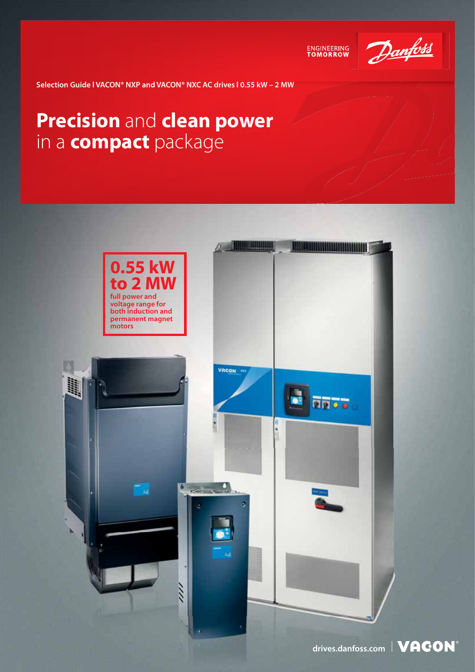

ENGINEERING<br>TOMORROW

**Selection Guide l VACON® NXP and VACON® NXC AC drives l 0.55 kW – 2 MW AC 0.55**

### **Precision** and **clean power** in a **compact** package

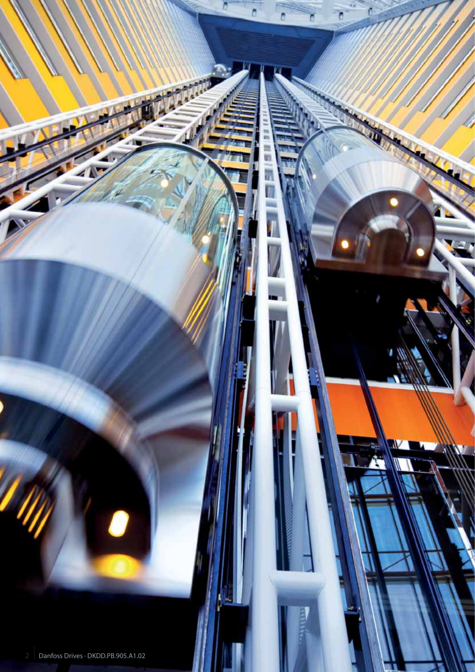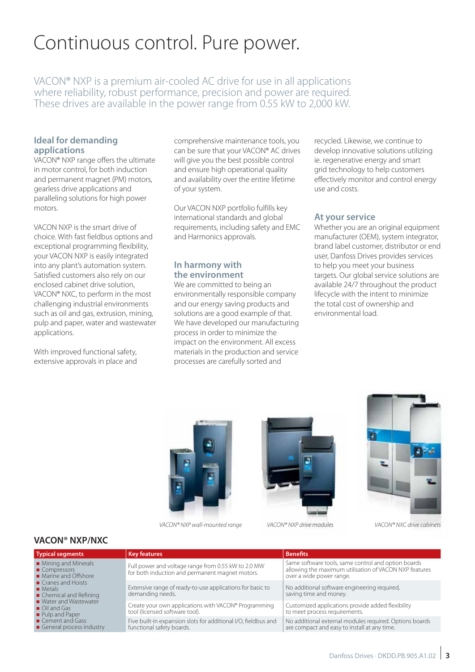## Continuous control. Pure power.

VACON® NXP is a premium air-cooled AC drive for use in all applications where reliability, robust performance, precision and power are required. These drives are available in the power range from 0.55 kW to 2,000 kW.

#### **Ideal for demanding applications**

VACON® NXP range offers the ultimate in motor control, for both induction and permanent magnet (PM) motors, gearless drive applications and paralleling solutions for high power motors.

VACON NXP is the smart drive of choice. With fast fieldbus options and exceptional programming flexibility, your VACON NXP is easily integrated into any plant's automation system. Satisfied customers also rely on our enclosed cabinet drive solution, VACON® NXC, to perform in the most challenging industrial environments such as oil and gas, extrusion, mining, pulp and paper, water and wastewater applications.

With improved functional safety, extensive approvals in place and

comprehensive maintenance tools, you can be sure that your VACON® AC drives will give you the best possible control and ensure high operational quality and availability over the entire lifetime of your system.

Our VACON NXP portfolio fulfills key international standards and global requirements, including safety and EMC and Harmonics approvals.

#### **In harmony with the environment**

We are committed to being an environmentally responsible company and our energy saving products and solutions are a good example of that. We have developed our manufacturing process in order to minimize the impact on the environment. All excess materials in the production and service processes are carefully sorted and

recycled. Likewise, we continue to develop innovative solutions utilizing ie. regenerative energy and smart grid technology to help customers effectively monitor and control energy use and costs.

#### **At your service**

Whether you are an original equipment manufacturer (OEM), system integrator, brand label customer, distributor or end user, Danfoss Drives provides services to help you meet your business targets. Our global service solutions are available 24/7 throughout the product lifecycle with the intent to minimize the total cost of ownership and environmental load.



VACON® NXP wall-mounted range VACON® NXP drive modules VACON® NXC drive cabinets







#### **VACON® NXP/NXC**

| <b>Typical segments</b>                                       | <b>Key features</b>                                                                                    | <b>Benefits</b>                                                                                                                           |
|---------------------------------------------------------------|--------------------------------------------------------------------------------------------------------|-------------------------------------------------------------------------------------------------------------------------------------------|
| • Mining and Minerals<br>Compressors<br>• Marine and Offshore | Full power and voltage range from 0.55 kW to 2.0 MW<br>for both induction and permanent magnet motors. | Same software tools, same control and option boards<br>allowing the maximum utilisation of VACON NXP features<br>over a wide power range. |
| Cranes and Hoists<br>$Meta$ Metals<br>• Chemical and Refining | Extensive range of ready-to-use applications for basic to<br>demanding needs.                          | No additional software engineering required,<br>saving time and money.                                                                    |
| ■ Water and Wastewater<br>Oil and Gas<br>• Pulp and Paper     | Create your own applications with VACON® Programming<br>tool (licensed software tool).                 | Customized applications provide added flexibility<br>to meet process requirements.                                                        |
| Cement and Gass<br>General process industry                   | Five built-in expansion slots for additional I/O, fieldbus and<br>functional safety boards.            | No additional external modules required. Options boards<br>are compact and easy to install at any time.                                   |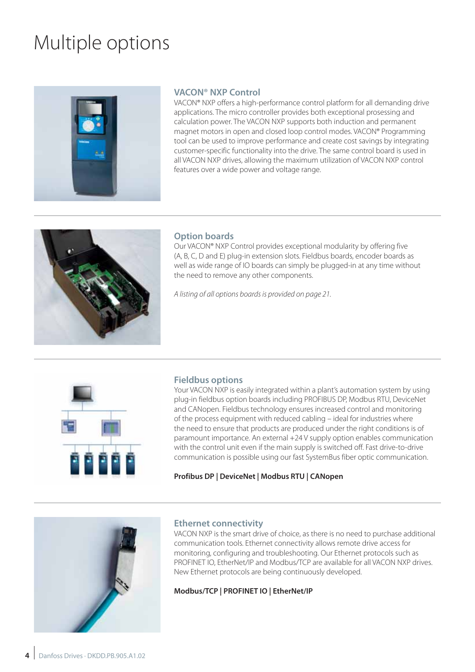## Multiple options



#### **VACON® NXP Control**

VACON® NXP offers a high-performance control platform for all demanding drive applications. The micro controller provides both exceptional prosessing and calculation power. The VACON NXP supports both induction and permanent magnet motors in open and closed loop control modes. VACON® Programming tool can be used to improve performance and create cost savings by integrating customer-specific functionality into the drive. The same control board is used in all VACON NXP drives, allowing the maximum utilization of VACON NXP control features over a wide power and voltage range.



#### **Option boards**

Our VACON® NXP Control provides exceptional modularity by offering five (A, B, C, D and E) plug-in extension slots. Fieldbus boards, encoder boards as well as wide range of IO boards can simply be plugged-in at any time without the need to remove any other components.

A listing of all options boards is provided on page 21.



#### **Fieldbus options**

Your VACON NXP is easily integrated within a plant's automation system by using plug-in fieldbus option boards including PROFIBUS DP, Modbus RTU, DeviceNet and CANopen. Fieldbus technology ensures increased control and monitoring of the process equipment with reduced cabling – ideal for industries where the need to ensure that products are produced under the right conditions is of paramount importance. An external +24 V supply option enables communication with the control unit even if the main supply is switched off. Fast drive-to-drive communication is possible using our fast SystemBus fiber optic communication.

**Profibus DP | DeviceNet | Modbus RTU | CANopen**



#### **Ethernet connectivity**

VACON NXP is the smart drive of choice, as there is no need to purchase additional communication tools. Ethernet connectivity allows remote drive access for monitoring, configuring and troubleshooting. Our Ethernet protocols such as PROFINET IO, EtherNet/IP and Modbus/TCP are available for all VACON NXP drives. New Ethernet protocols are being continuously developed.

**Modbus/TCP | PROFINET IO | EtherNet/IP**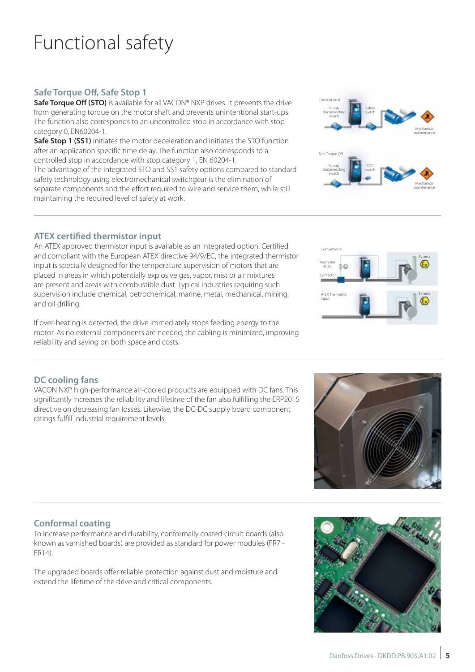## Functional safety

#### **Safe Torque Off, Safe Stop 1**

**Safe Torque Off (STO)** is available for all VACON® NXP drives. It prevents the drive from generating torque on the motor shaft and prevents unintentional start-ups. The function also corresponds to an uncontrolled stop in accordance with stop category 0, EN60204-1.

**Safe Stop 1 (SS1)** initiates the motor deceleration and initiates the STO function after an application specific time delay. The function also corresponds to a controlled stop in accordance with stop category 1, EN 60204-1.

The advantage of the integrated STO and SS1 safety options compared to standard safety technology using electromechanical switchgear is the elimination of separate components and the effort required to wire and service them, while still maintaining the required level of safety at work.

#### **ATEX certified thermistor input**

An ATEX approved thermistor input is available as an integrated option. Certified and compliant with the European ATEX directive 94/9/EC, the integrated thermistor input is specially designed for the temperature supervision of motors that are placed in areas in which potentially explosive gas, vapor, mist or air mixtures are present and areas with combustible dust. Typical industries requiring such supervision include chemical, petrochemical, marine, metal, mechanical, mining, and oil drilling.

If over-heating is detected, the drive immediately stops feeding energy to the motor. As no external components are needed, the cabling is minimized, improving reliability and saving on both space and costs.

#### **DC cooling fans**

VACON NXP high-performance air-cooled products are equipped with DC fans. This significantly increases the reliability and lifetime of the fan also fulfilling the ERP2015 directive on decreasing fan losses. Likewise, the DC-DC supply board component ratings fulfill industrial requirement levels.

#### **Conformal coating**

To increase performance and durability, conformally coated circuit boards (also known as varnished boards) are provided as standard for power modules (FR7 - FR14).

The upgraded boards offer reliable protection against dust and moisture and extend the lifetime of the drive and critical components.







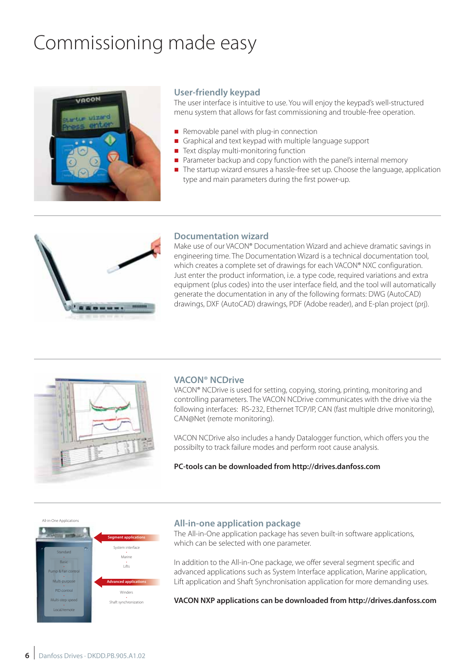## Commissioning made easy



#### **User-friendly keypad**

The user interface is intuitive to use. You will enjoy the keypad's well-structured menu system that allows for fast commissioning and trouble-free operation.

- Removable panel with plug-in connection
- Graphical and text keypad with multiple language support
- Text display multi-monitoring function
- **Parameter backup and copy function with the panel's internal memory**
- The startup wizard ensures a hassle-free set up. Choose the language, application type and main parameters during the first power-up.



#### **Documentation wizard**

Make use of our VACON® Documentation Wizard and achieve dramatic savings in engineering time. The Documentation Wizard is a technical documentation tool, which creates a complete set of drawings for each VACON® NXC configuration. Just enter the product information, i.e. a type code, required variations and extra equipment (plus codes) into the user interface field, and the tool will automatically generate the documentation in any of the following formats: DWG (AutoCAD) drawings, DXF (AutoCAD) drawings, PDF (Adobe reader), and E-plan project (prj).



#### **VACON® NCDrive**

VACON® NCDrive is used for setting, copying, storing, printing, monitoring and controlling parameters. The VACON NCDrive communicates with the drive via the following interfaces: RS-232, Ethernet TCP/IP, CAN (fast multiple drive monitoring), CAN@Net (remote monitoring).

VACON NCDrive also includes a handy Datalogger function, which offers you the possibilty to track failure modes and perform root cause analysis.

**PC-tools can be downloaded from<http://drives.danfoss.com>**



#### **All-in-one application package**

The All-in-One application package has seven built-in software applications, which can be selected with one parameter.

In addition to the All-in-One package, we offer several segment specific and advanced applications such as System Interface application, Marine application, Lift application and Shaft Synchronisation application for more demanding uses.

**VACON NXP applications can be downloaded from <http://drives.danfoss.com>**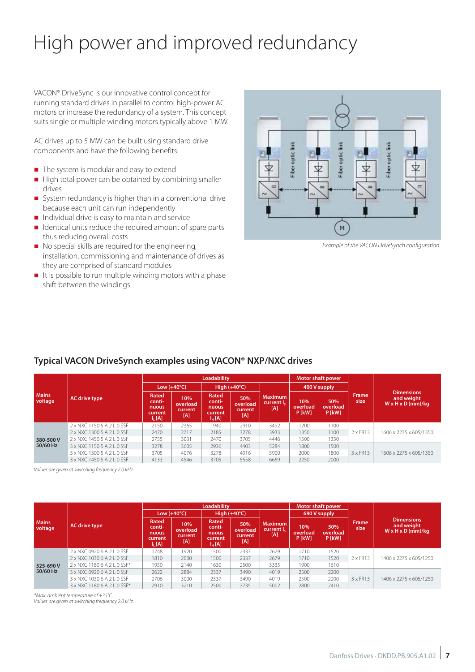## High power and improved redundancy

VACON® DriveSync is our innovative control concept for running standard drives in parallel to control high-power AC motors or increase the redundancy of a system. This concept suits single or multiple winding motors typically above 1 MW.

AC drives up to 5 MW can be built using standard drive components and have the following benefits:

- The system is modular and easy to extend
- $\blacksquare$  High total power can be obtained by combining smaller drives
- System redundancy is higher than in a conventional drive because each unit can run independently
- $\blacksquare$  Individual drive is easy to maintain and service
- $\blacksquare$  Identical units reduce the required amount of spare parts thus reducing overall costs
- No special skills are required for the engineering, installation, commissioning and maintenance of drives as they are comprised of standard modules
- $\blacksquare$  It is possible to run multiple winding motors with a phase shift between the windings



Example of the VACON DriveSynch configuration.

#### **Mains AC drive type Loadability Motor shaft power Frame size Dimensions and weight W x H x D (mm)/kg Low (+40°C) High (+40°C) Maximum current IS [A] 400 V supply Rated continuous current IL [A] 10% overload current [A] Rated continuous current**  $I_{\rm H}$  [A]<br>1940 **50% overload current [A] 10% overload P [kW] 50% overload P [kW] 380-500 V 50/60 Hz** 2 x NXC 1150 5 A 2 L 0 SSF 2150 2365 1940 2910 3492 1200 1100<br>2 x NXC 1300 5 A 2 L 0 SSF 2470 2717 2185 3278 3933 1350 1100 2 x NXC 1300 5 A 2 L 0 SSF 2470 2717 2185 3278 3933 1350 1100 2 x FR13 1606 x 2275 x 605/1350<br>2 x NXC 1450 5 A 2 L 0 SSF 2755 3031 2470 3705 4446 1500 1350 1350 2 x NXC 1450 5 A 2 L 0 SSF 2755 3031 2470 3705 4446 1500 1350<br>3 x NXC 1150 5 A 2 L 0 SSF 3278 3605 2936 4403 5284 1800 1500 3 x NXC 1150 5 A 2 L 0 SSF 3278 3605 2936 4403 5284 1800 1500 3 x NXC 1300 5 A 2 L 0 SSF 3705 4076 3278 4916 5900 2000 1800 3 x FR13 1606 x 2275 x 605/1350<br>3 x NXC 1450 5 A 2 L 0 SSF 4133 4546 3705 5558 6669 2250 2000 3 x FR13 1606 x 2275 x 605/1350 3 x NXC 1450 5 A 2 L 0 SSF 4133 4546 3705 5558

#### **Typical VACON DriveSynch examples using VACON® NXP/NXC drives**

Values are given at switching frequency 2.0 kHz.

|                         |                             |                                               |                                   | <b>Loadability</b>                              |                                   |                                     |                           | Motor shaft power         |                 |                                                                  |  |
|-------------------------|-----------------------------|-----------------------------------------------|-----------------------------------|-------------------------------------------------|-----------------------------------|-------------------------------------|---------------------------|---------------------------|-----------------|------------------------------------------------------------------|--|
|                         |                             |                                               | Low $(+40^{\circ}C)$              |                                                 | High $(+40^{\circ}C)$             |                                     | 690 V supply              |                           |                 |                                                                  |  |
| <b>Mains</b><br>voltage | AC drive type               | Rated<br>conti-<br>nuous<br>current<br> , [A] | 10%<br>overload<br>current<br>[A] | Rated<br>conti-<br>nuous<br>current<br>$I_H[A]$ | 50%<br>overload<br>current<br>[A] | <b>Maximum</b><br>current l.<br>[A] | 10%<br>overload<br>P [kW] | 50%<br>overload<br>P [kW] | Frame<br>size   | <b>Dimensions</b><br>and weight<br>$W \times H \times D$ (mm)/kg |  |
|                         | 2 x NXC 0920 6 A 2 L 0 SSE  | 1748                                          | 1920                              | 1500                                            | 2337                              | 2679                                | 1710                      | 1520                      |                 |                                                                  |  |
|                         | 2 x NXC 1030 6 A 2 L 0 SSF  | 1810                                          | 2000                              | 1500                                            | 2337                              | 2679                                | 1710                      | 1520                      | $2 \times$ FR13 | 1406 x 2275 x 605/1250                                           |  |
| 525-690 V               | 2 x NXC 1180 6 A 2 L 0 SSF* | 1950                                          | 2140                              | 1630                                            | 2500                              | 3335                                | 1900                      | 1610                      |                 |                                                                  |  |
| 50/60 Hz                | 3 x NXC 0920 6 A 2 L 0 SSE  | 2622                                          | 2884                              | 2337                                            | 3490                              | 4019                                | 2500                      | 2200                      |                 |                                                                  |  |
|                         | 3 x NXC 1030 6 A 2 L 0 SSE  | 2706                                          | 3000                              | 2337                                            | 3490                              | 4019                                | 2500                      | 2200                      | $3 \times FR13$ | 1406 x 2275 x 605/1250                                           |  |
|                         | 3 x NXC 1180 6 A 2 L 0 SSF* | 2910                                          | 3210                              | 2500                                            | 3735                              | 5002                                | 2800                      | 2410                      |                 |                                                                  |  |

\*Max. ambient temperature of +35°C.

Values are given at switching frequency 2.0 kHz.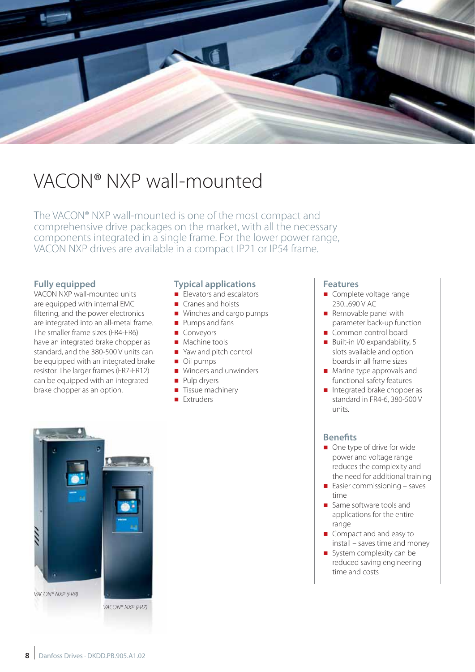

## VACON® NXP wall-mounted

The VACON® NXP wall-mounted is one of the most compact and comprehensive drive packages on the market, with all the necessary components integrated in a single frame. For the lower power range, VACON NXP drives are available in a compact IP21 or IP54 frame.

#### **Fully equipped**

VACON NXP wall-mounted units are equipped with internal EMC filtering, and the power electronics are integrated into an all-metal frame. The smaller frame sizes (FR4-FR6) have an integrated brake chopper as standard, and the 380-500 V units can be equipped with an integrated brake resistor. The larger frames (FR7-FR12) can be equipped with an integrated brake chopper as an option.

#### **Typical applications**

- $\blacksquare$  Elevators and escalators
- Cranes and hoists
- Winches and cargo pumps
- **Pumps and fans**
- Conveyors
- **Machine tools**
- Yaw and pitch control
- Oil pumps
- Winders and unwinders
- Pulp drvers
- $\blacksquare$  Tissue machinery
- **Extruders**

#### **Features**

- Complete voltage range 230...690 V AC
- Removable panel with parameter back-up function
- Common control board
- Built-in I/0 expandability, 5 slots available and option boards in all frame sizes
- **Marine type approvals and** functional safety features
- Integrated brake chopper as standard in FR4-6, 380-500 V units.

#### **Benefits**

- One type of drive for wide power and voltage range reduces the complexity and the need for additional training
- $\blacksquare$  Easier commissioning saves time
- Same software tools and applications for the entire range
- Compact and and easy to install – saves time and money
- System complexity can be reduced saving engineering time and costs

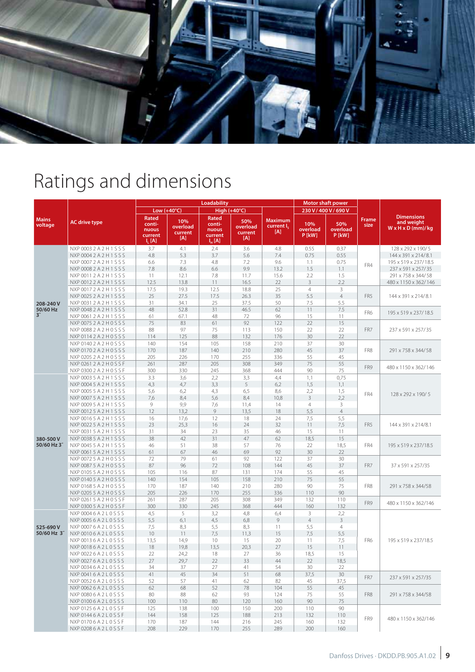

|                         |                                                      |                                                 |                                   | <b>Loadability</b>                              |                                   |                                                 | <b>Motor shaft power</b>         |                                  |                      |                                                                  |  |
|-------------------------|------------------------------------------------------|-------------------------------------------------|-----------------------------------|-------------------------------------------------|-----------------------------------|-------------------------------------------------|----------------------------------|----------------------------------|----------------------|------------------------------------------------------------------|--|
|                         |                                                      | Low $(+40^{\circ}C)$                            |                                   |                                                 | High (+40°C)                      |                                                 | 230 V / 400 V / 690 V            |                                  |                      |                                                                  |  |
| <b>Mains</b><br>voltage | AC drive type                                        | Rated<br>conti-<br>nuous<br>current<br>$I_L[A]$ | 10%<br>overload<br>current<br>[A] | Rated<br>conti-<br>nuous<br>current<br>$I_H[A]$ | 50%<br>overload<br>current<br>[A] | <b>Maximum</b><br>current I <sub>s</sub><br>[A] | 10%<br>overload<br><b>P</b> [kW] | 50%<br>overload<br><b>P</b> [kW] | <b>Frame</b><br>size | <b>Dimensions</b><br>and weight<br>$W \times H \times D$ (mm)/kg |  |
|                         | NXP 0003 2 A 2 H 1 S S S                             | 3.7                                             | 4.1                               | 2.4                                             | 3.6                               | 4.8                                             | 0.55                             | 0.37                             |                      | 128 x 292 x 190/5                                                |  |
|                         | NXP 0004 2 A 2 H 1 S S S                             | 4.8                                             | 5.3                               | 3.7                                             | 5.6                               | 7.4                                             | 0.75                             | 0.55                             |                      | 144 x 391 x 214/8.1                                              |  |
|                         | NXP 0007 2 A 2 H 1 S S S                             | 6.6                                             | 7.3                               | 4.8                                             | 7.2                               | 9.6                                             | 1.1                              | 0.75                             | FR4                  | 195 x 519 x 237/18.5                                             |  |
|                         | NXP 0008 2 A 2 H 1 S S S                             | 7.8                                             | 8.6                               | 6.6                                             | 9.9                               | 13.2                                            | 1.5                              | 1.1                              |                      | 237 x 591 x 257/35                                               |  |
|                         | NXP 0011 2 A 2 H 1 S S S                             | 11                                              | 12.1                              | 7.8                                             | 11.7                              | 15.6                                            | 2.2                              | 1.5                              |                      | 291 x 758 x 344/58                                               |  |
|                         | NXP 0012 2 A 2 H 1 S S S                             | 12.5                                            | 13.8                              | 11                                              | 16.5                              | 22                                              | $\overline{3}$                   | 2.2                              |                      | 480 x 1150 x 362/146                                             |  |
|                         | NXP 0017 2 A 2 H 1 S S S<br>NXP 0025 2 A 2 H 1 S S S | 17.5<br>25                                      | 19.3<br>27.5                      | 12.5<br>17.5                                    | 18.8<br>26.3                      | 25<br>35                                        | $\overline{4}$<br>5.5            | 3<br>$\overline{4}$              | FR <sub>5</sub>      | 144 x 391 x 214/8.1                                              |  |
| 208-240 V               | NXP 0031 2 A 2 H 1 S S S                             | 31                                              | 34.1                              | 25                                              | 37.5                              | 50                                              | 7.5                              | 5.5                              |                      |                                                                  |  |
| 50/60 Hz                | NXP 0048 2 A 2 H 1 S S S                             | 48                                              | 52.8                              | 31                                              | 46.5                              | 62                                              | 11                               | 7.5                              |                      |                                                                  |  |
| 3 <sup>2</sup>          | NXP 0061 2 A 2 H 1 S S S                             | 61                                              | 67.1                              | 48                                              | 72                                | 96                                              | 15                               | 11                               | FR <sub>6</sub>      | 195 x 519 x 237/18.5                                             |  |
|                         | NXP 0075 2 A 2 H 0 S S S                             | 75                                              | 83                                | 61                                              | 92                                | 122                                             | 22                               | 15                               |                      |                                                                  |  |
|                         | NXP 0088 2 A 2 H 0 S S S                             | 88                                              | 97                                | 75                                              | 113                               | 150                                             | 22                               | 22                               | FR7                  | 237 x 591 x 257/35                                               |  |
|                         | NXP 0114 2 A 2 H 0 S S S                             | 114                                             | 125                               | 88                                              | 132                               | 176                                             | 30                               | 22                               |                      |                                                                  |  |
|                         | NXP 0140 2 A 2 H 0 S S S                             | 140                                             | 154                               | 105                                             | 158                               | 210                                             | 37                               | 30                               |                      |                                                                  |  |
|                         | NXP 0170 2 A 2 H 0 S S S                             | 170                                             | 187                               | 140                                             | 210                               | 280                                             | 45                               | 37                               | FR8                  | 291 x 758 x 344/58                                               |  |
|                         | NXP 0205 2 A 2 H 0 S S S<br>NXP 0261 2 A 2 H 0 S S F | 205<br>261                                      | 226<br>287                        | 170<br>205                                      | 255<br>308                        | 336<br>349                                      | 55<br>75                         | 45<br>55                         |                      |                                                                  |  |
|                         | NXP 0300 2 A 2 H 0 S S F                             | 300                                             | 330                               | 245                                             | 368                               | 444                                             | 90                               | 75                               | FR9                  | 480 x 1150 x 362/146                                             |  |
|                         | NXP 0003 5 A 2 H 1 S S S                             | 3.3                                             | 3,6                               | 2,2                                             | 3,3                               | 4,4                                             | 1,1                              | 0,75                             |                      |                                                                  |  |
|                         | NXP 0004 5 A 2 H 1 S S S                             | 4,3                                             | 4,7                               | 3,3                                             | 5                                 | 6,2                                             | 1,5                              | 1,1                              |                      |                                                                  |  |
|                         | NXP 0005 5 A 2 H 1 S S S                             | 5,6                                             | 6,2                               | 4,3                                             | 6,5                               | 8,6                                             | 2,2                              | 1,5                              |                      |                                                                  |  |
|                         | NXP 0007 5 A 2 H 1 S S S                             | 7,6                                             | 8,4                               | 5,6                                             | 8,4                               | 10,8                                            | 3                                | 2,2                              | FR4                  | 128 x 292 x 190/5                                                |  |
|                         | NXP 0009 5 A 2 H 1 S S S                             | 9                                               | 9,9                               | 7,6                                             | 11,4                              | 14                                              | $\overline{4}$                   | 3                                |                      |                                                                  |  |
|                         | NXP 00125 A 2 H 1 S S S                              | 12                                              | 13,2                              | 9                                               | 13,5                              | 18                                              | 5,5                              | $\overline{4}$                   |                      |                                                                  |  |
|                         | NXP 00165A2H1SSS                                     | 16                                              | 17,6                              | 12                                              | 18                                | 24                                              | 7,5                              | 5,5                              |                      |                                                                  |  |
|                         | NXP 0022 5 A 2 H 1 S S S                             | 23                                              | 25,3                              | 16                                              | 24                                | 32                                              | 11                               | 7,5                              | FR <sub>5</sub>      | 144 x 391 x 214/8.1                                              |  |
|                         | NXP 0031 5 A 2 H 1 S S S                             | 31                                              | 34                                | 23                                              | 35                                | 46                                              | 15                               | 11                               |                      |                                                                  |  |
| 380-500V<br>50/60 Hz 3  | NXP 0038 5 A 2 H 1 S S S<br>NXP 0045 5 A 2 H 1 S S S | 38<br>46                                        | 42<br>51                          | 31<br>38                                        | 47<br>57                          | 62<br>76                                        | 18,5<br>22                       | 15<br>18,5                       | FR4                  | 195 x 519 x 237/18.5                                             |  |
|                         | NXP 0061 5 A 2 H 1 S S S                             | 61                                              | 67                                | 46                                              | 69                                | 92                                              | 30                               | 22                               |                      |                                                                  |  |
|                         | NXP 0072 5 A 2 H 0 S S S                             | 72                                              | 79                                | 61                                              | 92                                | 122                                             | 37                               | 30                               |                      |                                                                  |  |
|                         | NXP 0087 5 A 2 H 0 S S S                             | 87                                              | 96                                | 72                                              | 108                               | 144                                             | 45                               | 37                               | FR7                  | 37 x 591 x 257/35                                                |  |
|                         | NXP 0105 5 A 2 H 0 S S S                             | 105                                             | 116                               | 87                                              | 131                               | 174                                             | 55                               | 45                               |                      |                                                                  |  |
|                         | NXP 0140 5 A 2 H 0 S S S                             | 140                                             | 154                               | 105                                             | 158                               | 210                                             | 75                               | 55                               |                      |                                                                  |  |
|                         | NXP 0168 5 A 2 H 0 S S S                             | 170                                             | 187                               | 140                                             | 210                               | 280                                             | 90                               | 75                               | FR8                  | 291 x 758 x 344/58                                               |  |
|                         | NXP 0205 5 A 2 H 0 S S S                             | 205                                             | 226                               | 170                                             | 255                               | 336                                             | 110                              | 90                               |                      |                                                                  |  |
|                         | NXP 0261 5 A 2 H 0 S S F                             | 261                                             | 287                               | 205                                             | 308                               | 349                                             | 132                              | 110                              | FR9                  | 480 x 1150 x 362/146                                             |  |
|                         | NXP 0300 5 A 2 H 0 S S F                             | 300                                             | 330                               | 245                                             | 368                               | 444                                             | 160                              | 132                              |                      |                                                                  |  |
|                         | NXP 0004 6 A 2 L 0 S S S<br>NXP 0005 6 A 2 L 0 S S S | 4,5<br>5,5                                      | 5<br>6,1                          | 3,2<br>4,5                                      | 4,8<br>6,8                        | 6,4<br>9                                        | 3<br>$\overline{4}$              | 2,2<br>3                         |                      |                                                                  |  |
| 525-690V                | NXP 0007 6 A 2 L 0 S S S                             | 7,5                                             | 8,3                               | 5,5                                             | 8,3                               | 11                                              | 5,5                              | $\overline{4}$                   |                      |                                                                  |  |
| 50/60 Hz 3              | NXP 0010 6 A 2 L 0 S S S                             | 10                                              | 11                                | 7,5                                             | 11,3                              | 15                                              | 7,5                              | 5,5                              |                      |                                                                  |  |
|                         | NXP 0013 6 A 2 L 0 S S S                             | 13,5                                            | 14,9                              | 10 <sup>°</sup>                                 | 15                                | 20                                              | 11                               | 7,5                              | FR <sub>6</sub>      | 195 x 519 x 237/18.5                                             |  |
|                         | NXP 0018 6 A 2 L 0 S S S                             | 18                                              | 19,8                              | 13,5                                            | 20,3                              | 27                                              | 15                               | 11                               |                      |                                                                  |  |
|                         | NXP 0022 6 A 2 L 0 S S S                             | 22                                              | 24,2                              | 18                                              | 27                                | 36                                              | 18,5                             | 15                               |                      |                                                                  |  |
|                         | NXP 0027 6 A 2 L 0 S S S                             | 27                                              | 29,7                              | 22                                              | 33                                | 44                                              | 22                               | 18,5                             |                      |                                                                  |  |
|                         | NXP 0034 6 A 2 L 0 S S S                             | 34                                              | 37                                | 27                                              | 41                                | 54                                              | 30                               | 22                               |                      |                                                                  |  |
|                         | NXP 0041 6 A 2 L 0 S S S                             | 41                                              | 45                                | 34                                              | 51                                | 68                                              | 37,5                             | 30                               | FR7                  | 237 x 591 x 257/35                                               |  |
|                         | NXP 0052 6 A 2 L 0 S S S                             | 52                                              | 57                                | 41                                              | 62                                | 82                                              | 45                               | 37,5                             |                      |                                                                  |  |
|                         | NXP 00626A2L0SSS<br>NXP 0080 6 A 2 L 0 S S S         | 62<br>80                                        | 68<br>88                          | 52<br>62                                        | 78<br>93                          | 104<br>124                                      | 55<br>75                         | 45<br>55                         | FR8                  | 291 x 758 x 344/58                                               |  |
|                         | NXP 0100 6 A 2 L 0 S S S                             | 100                                             | 110                               | 80                                              | 120                               | 160                                             | 90                               | 75                               |                      |                                                                  |  |
|                         | NXP 0125 6 A 2 L 0 S S F                             | 125                                             | 138                               | 100                                             | 150                               | 200                                             | 110                              | 90                               |                      |                                                                  |  |
|                         | NXP 0144 6 A 2 L 0 S S F                             | 144                                             | 158                               | 125                                             | 188                               | 213                                             | 132                              | 110                              |                      |                                                                  |  |
|                         | NXP 0170 6 A 2 L 0 S S F                             | 170                                             | 187                               | 144                                             | 216                               | 245                                             | 160                              | 132                              | FR9                  | 480 x 1150 x 362/146                                             |  |
|                         | NXP 0208 6 A 2 L 0 S S F                             | 208                                             | 229                               | 170                                             | 255                               | 289                                             | 200                              | 160                              |                      |                                                                  |  |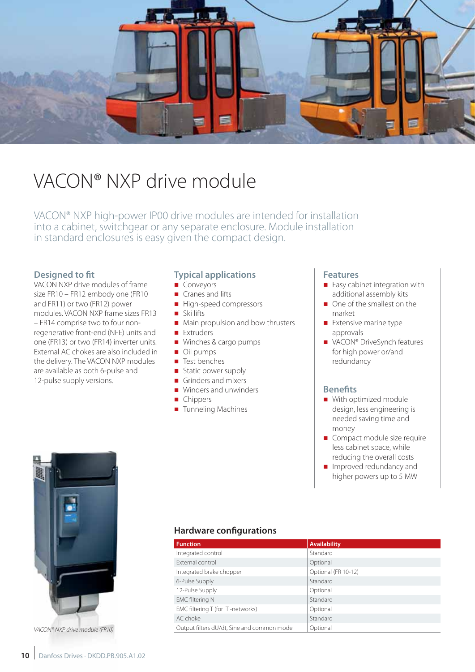

### VACON® NXP drive module

VACON® NXP high-power IP00 drive modules are intended for installation into a cabinet, switchgear or any separate enclosure. Module installation in standard enclosures is easy given the compact design.

#### **Designed to fit**

VACON NXP drive modules of frame size FR10 – FR12 embody one (FR10 and FR11) or two (FR12) power modules. VACON NXP frame sizes FR13 – FR14 comprise two to four nonregenerative front-end (NFE) units and one (FR13) or two (FR14) inverter units. External AC chokes are also included in the delivery. The VACON NXP modules are available as both 6-pulse and 12-pulse supply versions.

#### **Typical applications**

- Conveyors
- Cranes and lifts
- High-speed compressors
- Ski lifts
- **Main propulsion and bow thrusters**
- **Extruders**
- Winches & cargo pumps
- Oil pumps
- Test benches
- $\blacksquare$  Static power supply
- Grinders and mixers
- Winders and unwinders
- Chippers
- Tunneling Machines

#### **Features**

- $\blacksquare$  Easy cabinet integration with additional assembly kits
- $\Box$  One of the smallest on the market
- $\blacksquare$  Extensive marine type approvals
- VACON® DriveSynch features for high power or/and redundancy

#### **Benefits**

- With optimized module design, less engineering is needed saving time and money
- Compact module size require less cabinet space, while reducing the overall costs
- Improved redundancy and higher powers up to 5 MW



VACON® NXP drive module (FR10)

#### **Hardware configurations**

| <b>Function</b>                            | <b>Availability</b> |
|--------------------------------------------|---------------------|
| Integrated control                         | Standard            |
| External control                           | Optional            |
| Integrated brake chopper                   | Optional (FR 10-12) |
| 6-Pulse Supply                             | Standard            |
| 12-Pulse Supply                            | Optional            |
| <b>EMC filtering N</b>                     | Standard            |
| EMC filtering T (for IT -networks)         | Optional            |
| AC choke                                   | Standard            |
| Output filters dU/dt, Sine and common mode | Optional            |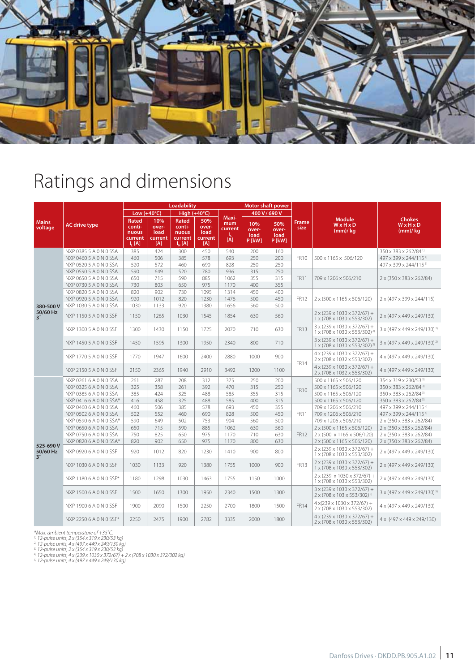

|                            |                         |                                                      |                                        | Loadability                                        |                                        |                                | <b>Motor shaft power</b>       |                                |               |                                                                                          |                                         |  |
|----------------------------|-------------------------|------------------------------------------------------|----------------------------------------|----------------------------------------------------|----------------------------------------|--------------------------------|--------------------------------|--------------------------------|---------------|------------------------------------------------------------------------------------------|-----------------------------------------|--|
|                            |                         |                                                      | Low $(+40^{\circ}C)$                   |                                                    | High $(+40^{\circ}C)$                  |                                |                                | 400 V / 690 V                  |               |                                                                                          |                                         |  |
| <b>Mains</b><br>voltage    | <b>AC drive type</b>    | <b>Rated</b><br>conti-<br>nuous<br>current<br>I, [A] | 10%<br>over-<br>load<br>current<br>[A] | Rated<br>conti-<br>nuous<br>current<br>$I_{H}$ [A] | 50%<br>over-<br>load<br>current<br>[A] | Maxi-<br>mum<br>current<br>[Å] | 10%<br>over-<br>load<br>P [kW] | 50%<br>over-<br>load<br>P [kW] | Frame<br>size | <b>Module</b><br>WxHxD<br>(mm)/kg                                                        | <b>Chokes</b><br>WxHxD<br>(mm)/kg       |  |
|                            | NXP 0385 5 A 0 N 0 SSA  | 385                                                  | 424                                    | 300                                                | 450                                    | 540                            | 200                            | 160                            |               |                                                                                          | 350 x 383 x 262/841)                    |  |
|                            | NXP 0460 5 A 0 N 0 SSA  | 460                                                  | 506                                    | 385                                                | 578                                    | 693                            | 250                            | 200                            | <b>FR10</b>   | 500 x 1165 x 506/120                                                                     | 497 x 399 x 244/115 <sup>1</sup>        |  |
|                            | NXP 0520 5 A 0 N 0 SSA  | 520                                                  | 572                                    | 460                                                | 690                                    | 828                            | 250                            | 250                            |               |                                                                                          | 497 x 399 x 244/115 1)                  |  |
|                            | NXP 0590 5 A 0 N 0 SSA  | 590                                                  | 649                                    | 520                                                | 780                                    | 936                            | 315                            | 250                            |               |                                                                                          |                                         |  |
|                            | NXP 0650 5 A 0 N 0 SSA  | 650                                                  | 715                                    | 590                                                | 885                                    | 1062                           | 355                            | 315                            | <b>FR11</b>   | 709 x 1206 x 506/210                                                                     | 2 x (350 x 383 x 262/84)                |  |
|                            | NXP 0730 5 A 0 N 0 SSA  | 730                                                  | 803                                    | 650                                                | 975                                    | 1170                           | 400                            | 355                            |               |                                                                                          |                                         |  |
|                            | NXP 0820 5 A 0 N 0 SSA  | 820                                                  | 902                                    | 730                                                | 1095                                   | 1314                           | 450                            | 400                            |               |                                                                                          |                                         |  |
|                            | NXP 0920 5 A 0 N 0 SSA  | 920                                                  | 1012                                   | 820                                                | 1230                                   | 1476                           | 500                            | 450                            | <b>FR12</b>   | 2 x (500 x 1165 x 506/120)                                                               | 2 x (497 x 399 x 244/115)               |  |
| 380-500 V                  | NXP 1030 5 A 0 N 0 SSA  | 1030                                                 | 1133                                   | 920                                                | 1380                                   | 1656                           | 560                            | 500                            |               |                                                                                          |                                         |  |
| 50/60 Hz<br>3 <sup>2</sup> | NXP 1150 5 A 0 N 0 SSF  | 1150                                                 | 1265                                   | 1030                                               | 1545                                   | 1854                           | 630                            | 560                            |               | $2 \times (239 \times 1030 \times 372/67) +$<br>1 x (708 x 1030 x 553/302)               | 2 x (497 x 449 x 249/130)               |  |
|                            | NXP 1300 5 A 0 N 0 SSF  | 1300                                                 | 1430                                   | 1150                                               | 1725                                   | 2070                           | 710                            | 630                            | <b>FR13</b>   | $3 \times (239 \times 1030 \times 372/67) +$<br>1 x (708 x 1030 x 553/302) <sup>2)</sup> | 3 x (497 x 449 x 249/130) <sup>2)</sup> |  |
|                            | NXP 1450 5 A 0 N 0 SSF  | 1450                                                 | 1595                                   | 1300                                               | 1950                                   | 2340                           | 800                            | 710                            |               | $3 \times (239 \times 1030 \times 372/67) +$<br>1 x (708 x 1030 x 553/302) <sup>2)</sup> | 3 x (497 x 449 x 249/130) <sup>2)</sup> |  |
|                            | NXP 1770 5 A 0 N 0 SSF  | 1770                                                 | 1947                                   | 1600                                               | 2400                                   | 2880                           | 1000                           | 900                            | <b>FR14</b>   | 4 x (239 x 1030 x 372/67) +<br>2 x (708 x 1032 x 553/302)                                | 4 x (497 x 449 x 249/130)               |  |
|                            | NXP 2150 5 A 0 N 0 SSF  | 2150                                                 | 2365                                   | 1940                                               | 2910                                   | 3492                           | 1200                           | 1100                           |               | 4 x (239 x 1030 x 372/67) +<br>2 x (708 x 1032 x 553/302)                                | 4 x (497 x 449 x 249/130)               |  |
|                            | NXP 0261 6 A 0 N 0 SSA  | 261                                                  | 287                                    | 208                                                | 312                                    | 375                            | 250                            | 200                            |               | 500 x 1165 x 506/120                                                                     | 354 x 319 x 230/53 <sup>3)</sup>        |  |
|                            | NXP 0325 6 A 0 N 0 SSA  | 325                                                  | 358                                    | 261                                                | 392                                    | 470                            | 315                            | 250                            | <b>FR10</b>   | 500 x 1165 x 506/120                                                                     | 350 x 383 x 262/84 <sup>3)</sup>        |  |
|                            | NXP 0385 6 A 0 N 0 SSA  | 385                                                  | 424                                    | 325                                                | 488                                    | 585                            | 355                            | 315                            |               | 500 x 1165 x 506/120                                                                     | 350 x 383 x 262/84 <sup>3)</sup>        |  |
|                            | NXP 0416 6 A 0 N 0 SSA* | 416                                                  | 458                                    | 325                                                | 488                                    | 585                            | 400                            | 315                            |               | 500 x 1165 x 506/120                                                                     | 350 x 383 x 262/84 <sup>3)</sup>        |  |
|                            | NXP 0460 6 A 0 N 0 SSA  | 460                                                  | 506                                    | 385                                                | 578                                    | 693                            | 450                            | 355                            |               | 709 x 1206 x 506/210                                                                     | 497 x 399 x 244/1154                    |  |
|                            | NXP 0502 6 A 0 N 0 SSA  | 502                                                  | 552                                    | 460                                                | 690                                    | 828                            | 500                            | 450                            | <b>FR11</b>   | 709 x 1206 x 506/210                                                                     | 497 x 399 x 244/115 <sup>4)</sup>       |  |
|                            | NXP 0590 6 A 0 N 0 SSA* | 590                                                  | 649                                    | 502                                                | 753                                    | 904                            | 560                            | 500                            |               | 709 x 1206 x 506/210                                                                     | 2 x (350 x 383 x 262/84)                |  |
|                            | NXP 0650 6 A 0 N 0 SSA  | 650                                                  | 715                                    | 590                                                | 885                                    | 1062                           | 630                            | 560                            |               | 2 x (500 x 1165 x 506/120)                                                               | 2 x (350 x 383 x 262/84)                |  |
|                            | NXP 0750 6 A 0 N 0 SSA  | 750                                                  | 825                                    | 650                                                | 975                                    | 1170                           | 710                            | 630                            | <b>FR12</b>   | 2 x (500 x 1165 x 506/120)                                                               | 2 x (350 x 383 x 262/84)                |  |
| 525-690 V                  | NXP 0820 6 A 0 N 0 SSA* | 820                                                  | 902                                    | 650                                                | 975                                    | 1170                           | 800                            | 630                            |               | 2 x (500 x 1165 x 506/120)                                                               | 2 x (350 x 383 x 262/84)                |  |
| 50/60 Hz<br>3 <sup>7</sup> | NXP 0920 6 A 0 N 0 SSF  | 920                                                  | 1012                                   | 820                                                | 1230                                   | 1410                           | 900                            | 800                            |               | 2 x (239 x 1030 x 372/67) +<br>1 x (708 x 1030 x 553/302)                                | 2 x (497 x 449 x 249/130)               |  |
|                            | NXP 1030 6 A 0 N 0 SSF  | 1030                                                 | 1133                                   | 920                                                | 1380                                   | 1755                           | 1000                           | 900                            | <b>FR13</b>   | $2 \times (239 \times 1030 \times 372/67) +$<br>1 x (708 x 1030 x 553/302)               | 2 x (497 x 449 x 249/130)               |  |
|                            | NXP 1180 6 A 0 N 0 SSF* | 1180                                                 | 1298                                   | 1030                                               | 1463                                   | 1755                           | 1150                           | 1000                           |               | $2 \times (239 \times 1030 \times 372/67) +$<br>1 x (708 x 1030 x 553/302)               | 2 x (497 x 449 x 249/130)               |  |
|                            | NXP 1500 6 A 0 N 0 SSF  | 1500                                                 | 1650                                   | 1300                                               | 1950                                   | 2340                           | 1500                           | 1300                           |               | $3 \times (239 \times 1030 \times 372/67) +$<br>2 x (708 x 103 x 553/302) <sup>3)</sup>  | 3 x (497 x 449 x 249/130) <sup>5)</sup> |  |
|                            | NXP 1900 6 A 0 N 0 SSF  | 1900                                                 | 2090                                   | 1500                                               | 2250                                   | 2700                           | 1800                           | 1500                           | <b>FR14</b>   | 4 x(239 x 1030 x 372/67) +<br>2 x (708 x 1030 x 553/302)                                 | 4 x (497 x 449 x 249/130)               |  |
|                            | NXP 2250 6 A 0 N 0 SSF* | 2250                                                 | 2475                                   | 1900                                               | 2782                                   | 3335                           | 2000                           | 1800                           |               | $4 \times (239 \times 1030 \times 372/67) +$<br>2 x (708 x 1030 x 553/302)               | 4 x (497 x 449 x 249/130)               |  |

\*Max. ambient temperature of +35°C.<br>" 12-pulse units, 2 x (354 x 319 x 230/53 kg)<br>" 12-pulse units, 4 x (497 x 449 x 249/130 kg)<br>" 12-pulse units, 4 x (239 x 1030 x 372/67) + 2 x (708 x 1030 x 372/302 kg)<br>" 12-pulse units,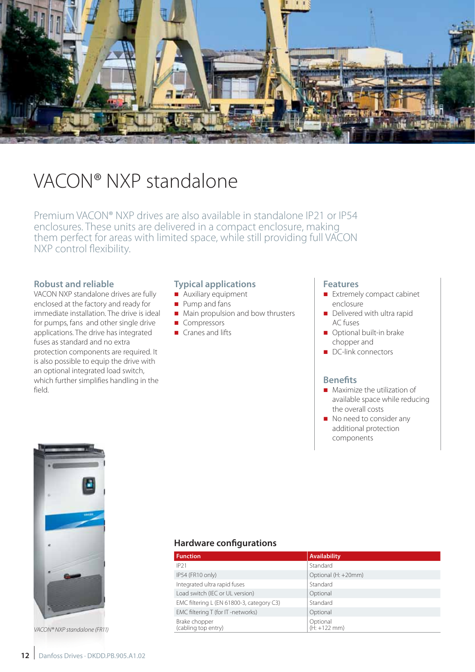

### VACON® NXP standalone

Premium VACON® NXP drives are also available in standalone IP21 or IP54 enclosures. These units are delivered in a compact enclosure, making them perfect for areas with limited space, while still providing full VACON NXP control flexibility.

#### **Robust and reliable**

VACON NXP standalone drives are fully enclosed at the factory and ready for immediate installation. The drive is ideal for pumps, fans and other single drive applications. The drive has integrated fuses as standard and no extra protection components are required. It is also possible to equip the drive with an optional integrated load switch, which further simplifies handling in the field.

#### **Typical applications**

- Auxiliary equipment
- Pump and fans
- Main propulsion and bow thrusters
- Compressors
- Cranes and lifts

#### **Features**

- Extremely compact cabinet enclosure
- Delivered with ultra rapid AC fuses
- Optional built-in brake chopper and
- DC-link connectors

#### **Benefits**

- **Maximize the utilization of** available space while reducing the overall costs
- No need to consider any additional protection components



VACON® NXP standalone (FR11)

#### **Hardware configurations**

| <b>Function</b>                           | <b>Availability</b>                |
|-------------------------------------------|------------------------------------|
| IP21                                      | Standard                           |
| IP54 (FR10 only)                          | Optional (H: +20mm)                |
| Integrated ultra rapid fuses              | Standard                           |
| Load switch (IEC or UL version)           | Optional                           |
| EMC filtering L (EN 61800-3, category C3) | Standard                           |
| EMC filtering T (for IT -networks)        | Optional                           |
| Brake chopper<br>(cabling top entry)      | Optional<br>$(H: +122 \text{ mm})$ |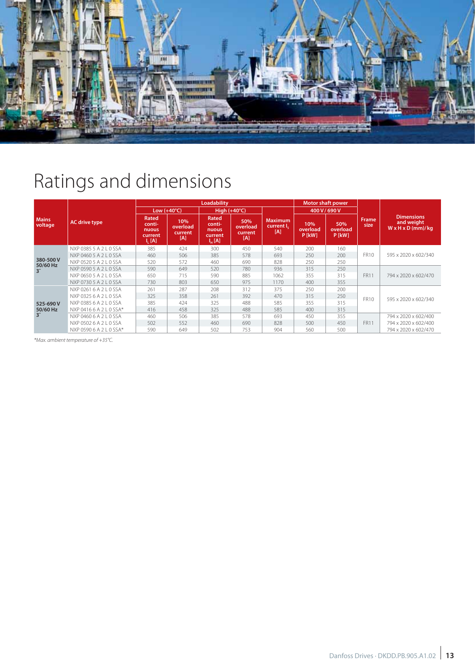

|                            |                         |                                                 |                                   | <b>Loadability</b>                                 |                                   |                                     | <b>Motor shaft power</b>    |                             |                      |                                                                  |
|----------------------------|-------------------------|-------------------------------------------------|-----------------------------------|----------------------------------------------------|-----------------------------------|-------------------------------------|-----------------------------|-----------------------------|----------------------|------------------------------------------------------------------|
|                            |                         | Low $(+40^{\circ}C)$                            |                                   |                                                    | High $(+40^{\circ}C)$             |                                     | 400 V / 690 V               |                             |                      |                                                                  |
| <b>Mains</b><br>voltage    | <b>AC drive type</b>    | Rated<br>conti-<br>nuous<br>current<br>$I_L[A]$ | 10%<br>overload<br>current<br>[A] | Rated<br>conti-<br>nuous<br>current<br>$I_{H}$ [A] | 50%<br>overload<br>current<br>[A] | <b>Maximum</b><br>current l.<br>[A] | 10%<br>overload<br>$P$ [kW] | 50%<br>overload<br>$P$ [kW] | <b>Frame</b><br>size | <b>Dimensions</b><br>and weight<br>$W \times H \times D$ (mm)/kg |
|                            | NXP 0385 5 A 2 L 0 SSA  | 385                                             | 424                               | 300                                                | 450                               | 540                                 | 200                         | 160                         |                      |                                                                  |
|                            | NXP 0460 5 A 2 L 0 SSA  | 460                                             | 506                               | 385                                                | 578                               | 693                                 | 250                         | 200                         | <b>FR10</b>          | 595 x 2020 x 602/340                                             |
| 380-500 V<br>50/60 Hz      | NXP 0520 5 A 2 L 0 SSA  | 520                                             | 572                               | 460                                                | 690                               | 828                                 | 250                         | 250                         |                      |                                                                  |
| $3^{\circ}$                | NXP 0590 5 A 2 L 0 SSA  | 590                                             | 649                               | 520                                                | 780                               | 936                                 | 315                         | 250                         |                      |                                                                  |
|                            | NXP 0650 5 A 2 L 0 SSA  | 650                                             | 715                               | 590                                                | 885                               | 1062                                | 355                         | 315                         | <b>FR11</b>          | 794 x 2020 x 602/470                                             |
|                            | NXP 0730 5 A 2 L 0 SSA  | 730                                             | 803                               | 650                                                | 975                               | 1170                                | 400                         | 355                         |                      |                                                                  |
|                            | NXP 0261 6 A 2 L 0 SSA  | 261                                             | 287                               | 208                                                | 312                               | 375                                 | 250                         | 200                         |                      |                                                                  |
|                            | NXP 0325 6 A 2 L 0 SSA  | 325                                             | 358                               | 261                                                | 392                               | 470                                 | 315                         | 250                         | <b>FR10</b>          | 595 x 2020 x 602/340                                             |
| 525-690 V                  | NXP 0385 6 A 2 L 0 SSA  | 385                                             | 424                               | 325                                                | 488                               | 585                                 | 355                         | 315                         |                      |                                                                  |
| 50/60 Hz<br>3 <sup>7</sup> | NXP 0416 6 A 2 L 0 SSA* | 416                                             | 458                               | 325                                                | 488                               | 585                                 | 400                         | 315                         |                      |                                                                  |
|                            | NXP 0460 6 A 2 L 0 SSA  | 460                                             | 506                               | 385                                                | 578                               | 693                                 | 450                         | 355                         |                      | 794 x 2020 x 602/400                                             |
|                            | NXP 0502 6 A 2 L 0 SSA  | 502                                             | 552                               | 460                                                | 690                               | 828                                 | 500                         | 450                         | <b>FR11</b>          | 794 x 2020 x 602/400                                             |
|                            | NXP 0590 6 A 2 L 0 SSA* | 590                                             | 649                               | 502                                                | 753                               | 904                                 | 560                         | 500                         |                      | 794 x 2020 x 602/470                                             |

\*Max. ambient temperature of +35°C.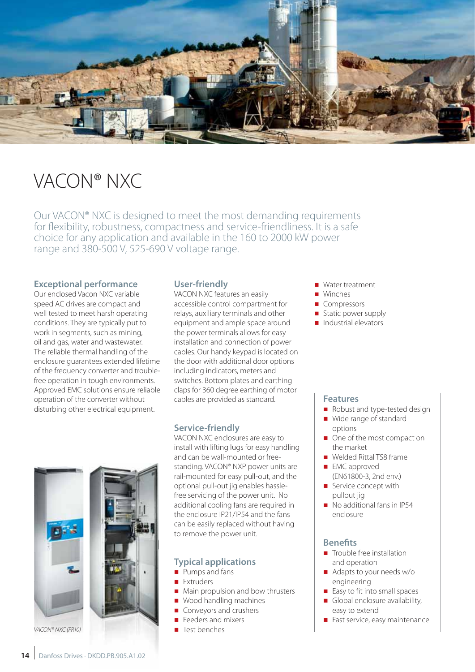

### VACON® NXC

Our VACON® NXC is designed to meet the most demanding requirements for flexibility, robustness, compactness and service-friendliness. It is a safe choice for any application and available in the 160 to 2000 kW power range and 380-500 V, 525-690 V voltage range.

#### **Exceptional performance**

Our enclosed Vacon NXC variable speed AC drives are compact and well tested to meet harsh operating conditions. They are typically put to work in segments, such as mining, oil and gas, water and wastewater. The reliable thermal handling of the enclosure guarantees extended lifetime of the frequency converter and troublefree operation in tough environments. Approved EMC solutions ensure reliable operation of the converter without disturbing other electrical equipment.

#### **User-friendly**

VACON NXC features an easily accessible control compartment for relays, auxiliary terminals and other equipment and ample space around the power terminals allows for easy installation and connection of power cables. Our handy keypad is located on the door with additional door options including indicators, meters and switches. Bottom plates and earthing claps for 360 degree earthing of motor cables are provided as standard.

#### **Service-friendly**

VACON NXC enclosures are easy to install with lifting lugs for easy handling and can be wall-mounted or freestanding. VACON® NXP power units are rail-mounted for easy pull-out, and the optional pull-out jig enables hasslefree servicing of the power unit. No additional cooling fans are required in the enclosure IP21/IP54 and the fans can be easily replaced without having to remove the power unit.

#### **Typical applications**

- $\blacksquare$  Pumps and fans
- **Extruders**
- **Main propulsion and bow thrusters**
- Wood handling machines
- Conveyors and crushers
- Feeders and mixers
- 
- Water treatment
- Winches
- Compressors
- Static power supply
- Industrial elevators

#### **Features**

- Robust and type-tested design
- Wide range of standard options
- One of the most compact on the market
- Welded Rittal TS8 frame
- **EMC** approved (EN61800-3, 2nd env.)
- Service concept with pullout jig
- $\blacksquare$  No additional fans in IP54 enclosure

#### **Benefits**

- $\blacksquare$  Trouble free installation and operation
- Adapts to your needs w/o engineering
- $\blacksquare$  Easy to fit into small spaces
- Global enclosure availability. easy to extend
- Fast service, easy maintenance

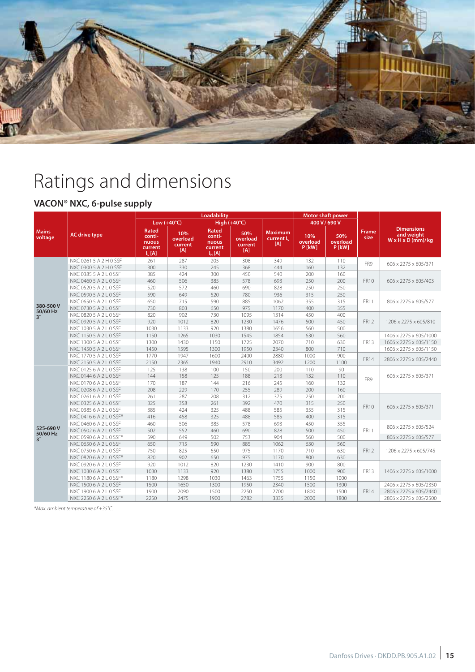

### **VACON® NXC, 6-pulse supply**

|                         |                         |                                                           |                                   | Loadability                                        |                                   |                                     | <b>Motor shaft power</b>    |                             |                      |                                                      |
|-------------------------|-------------------------|-----------------------------------------------------------|-----------------------------------|----------------------------------------------------|-----------------------------------|-------------------------------------|-----------------------------|-----------------------------|----------------------|------------------------------------------------------|
|                         |                         | Low $(+40^{\circ}C)$                                      |                                   |                                                    | High $(+40^{\circ}C)$             |                                     | 400 V / 690 V               |                             |                      |                                                      |
| <b>Mains</b><br>voltage | <b>AC drive type</b>    | Rated<br>conti-<br>nuous<br>current<br>I <sub>r</sub> [A] | 10%<br>overload<br>current<br>[A] | Rated<br>conti-<br>nuous<br>current<br>$I_{H}$ [A] | 50%<br>overload<br>current<br>[A] | <b>Maximum</b><br>current l.<br>[A] | 10%<br>overload<br>$P$ [kW] | 50%<br>overload<br>$P$ [kW] | <b>Frame</b><br>size | <b>Dimensions</b><br>and weight<br>W x H x D (mm)/kg |
|                         | NXC 0261 5 A 2 H 0 SSF  | 261                                                       | 287                               | 205                                                | 308                               | 349                                 | 132                         | 110                         | FR9                  | 606 x 2275 x 605/371                                 |
|                         | NXC 0300 5 A 2 H 0 SSF  | 300                                                       | 330                               | 245                                                | 368                               | 444                                 | 160                         | 132                         |                      |                                                      |
|                         | NXC 0385 5 A 2 L 0 SSF  | 385                                                       | 424                               | 300                                                | 450                               | 540                                 | 200                         | 160                         |                      |                                                      |
|                         | NXC 0460 5 A 2 L 0 SSF  | 460                                                       | 506                               | 385                                                | 578                               | 693                                 | 250                         | 200                         | <b>FR10</b>          | 606 x 2275 x 605/403                                 |
|                         | NXC 0520 5 A 2 L 0 SSF  | 520                                                       | 572                               | 460                                                | 690                               | 828                                 | 250                         | 250                         |                      |                                                      |
|                         | NXC 0590 5 A 2 L 0 SSF  | 590                                                       | 649                               | 520                                                | 780                               | 936                                 | 315                         | 250                         |                      |                                                      |
| 380-500 V               | NXC 0650 5 A 2 L 0 SSF  | 650                                                       | 715                               | 590                                                | 885                               | 1062                                | 355                         | 315                         | <b>FR11</b>          | 806 x 2275 x 605/577                                 |
| 50/60 Hz                | NXC 0730 5 A 2 L 0 SSF  | 730                                                       | 803                               | 650                                                | 975                               | 1170                                | 400                         | 355                         |                      |                                                      |
| 3 <sup>7</sup>          | NXC 0820 5 A 2 L 0 SSF  | 820                                                       | 902                               | 730                                                | 1095                              | 1314                                | 450                         | 400                         |                      |                                                      |
|                         | NXC 0920 5 A 2 L 0 SSF  | 920                                                       | 1012                              | 820                                                | 1230                              | 1476                                | 500                         | 450                         | <b>FR12</b>          | 1206 x 2275 x 605/810                                |
|                         | NXC 1030 5 A 2 L 0 SSF  | 1030                                                      | 1133                              | 920                                                | 1380                              | 1656                                | 560                         | 500                         |                      |                                                      |
|                         | NXC 1150 5 A 2 L 0 SSF  | 1150                                                      | 1265                              | 1030                                               | 1545                              | 1854                                | 630                         | 560                         |                      | 1406 x 2275 x 605/1000                               |
|                         | NXC 1300 5 A 2 L 0 SSF  | 1300                                                      | 1430                              | 1150                                               | 1725                              | 2070                                | 710                         | 630                         | <b>FR13</b>          | 1606 x 2275 x 605/1150                               |
|                         | NXC 1450 5 A 2 L 0 SSF  | 1450                                                      | 1595                              | 1300                                               | 1950                              | 2340                                | 800                         | 710                         |                      | 1606 x 2275 x 605/1150                               |
|                         | NXC 1770 5 A 2 L 0 SSF  | 1770                                                      | 1947                              | 1600                                               | 2400                              | 2880                                | 1000                        | 900                         | <b>FR14</b>          | 2806 x 2275 x 605/2440                               |
|                         | NXC 2150 5 A 2 L 0 SSF  | 2150                                                      | 2365                              | 1940                                               | 2910                              | 3492                                | 1200                        | 1100                        |                      |                                                      |
|                         | NXC 0125 6 A 2 L 0 SSF  | 125                                                       | 138                               | 100                                                | 150                               | 200                                 | 110                         | 90                          |                      |                                                      |
|                         | NXC 0144 6 A 2 L 0 SSF  | 144                                                       | 158                               | 125                                                | 188                               | 213                                 | 132                         | 110                         | FR9                  | 606 x 2275 x 605/371                                 |
|                         | NXC 0170 6 A 2 L 0 SSF  | 170                                                       | 187                               | 144                                                | 216                               | 245                                 | 160                         | 132                         |                      |                                                      |
|                         | NXC 0208 6 A 2 L 0 SSF  | 208                                                       | 229                               | 170                                                | 255                               | 289                                 | 200                         | 160                         |                      |                                                      |
|                         | NXC 0261 6 A 2 L 0 SSF  | 261                                                       | 287                               | 208                                                | 312                               | 375                                 | 250                         | 200                         |                      |                                                      |
|                         | NXC 0325 6 A 2 L 0 SSF  | 325                                                       | 358                               | 261                                                | 392                               | 470                                 | 315                         | 250                         | <b>FR10</b>          | 606 x 2275 x 605/371                                 |
|                         | NXC 0385 6 A 2 L 0 SSF  | 385                                                       | 424                               | 325                                                | 488                               | 585                                 | 355                         | 315                         |                      |                                                      |
|                         | NXC 0416 6 A 2 L 0 SSF* | 416                                                       | 458                               | 325                                                | 488                               | 585                                 | 400                         | 315                         |                      |                                                      |
| 525-690 V               | NXC 0460 6 A 2 L 0 SSF  | 460                                                       | 506                               | 385                                                | 578                               | 693                                 | 450                         | 355                         |                      | 806 x 2275 x 605/524                                 |
| 50/60 Hz                | NXC 0502 6 A 2 L 0 SSF  | 502                                                       | 552                               | 460                                                | 690                               | 828                                 | 500                         | 450                         | FR11                 |                                                      |
| 3 <sup>7</sup>          | NXC 0590 6 A 2 L 0 SSF* | 590                                                       | 649                               | 502                                                | 753                               | 904                                 | 560                         | 500                         |                      | 806 x 2275 x 605/577                                 |
|                         | NXC 0650 6 A 2 L 0 SSF  | 650                                                       | 715                               | 590                                                | 885                               | 1062                                | 630                         | 560                         |                      |                                                      |
|                         | NXC 0750 6 A 2 L 0 SSF  | 750                                                       | 825                               | 650                                                | 975                               | 1170                                | 710                         | 630                         | <b>FR12</b>          | 1206 x 2275 x 605/745                                |
|                         | NXC 0820 6 A 2 L 0 SSF* | 820                                                       | 902                               | 650                                                | 975                               | 1170                                | 800                         | 630                         |                      |                                                      |
|                         | NXC 0920 6 A 2 L 0 SSF  | 920                                                       | 1012                              | 820                                                | 1230                              | 1410                                | 900                         | 800                         |                      |                                                      |
|                         | NXC 1030 6 A 2 L 0 SSF  | 1030                                                      | 1133                              | 920                                                | 1380                              | 1755                                | 1000                        | 900                         | <b>FR13</b>          | 1406 x 2275 x 605/1000                               |
|                         | NXC 1180 6 A 2 L 0 SSF* | 1180                                                      | 1298                              | 1030                                               | 1463                              | 1755                                | 1150                        | 1000                        |                      |                                                      |
|                         | NXC 1500 6 A 2 L 0 SSF  | 1500                                                      | 1650                              | 1300                                               | 1950                              | 2340                                | 1500                        | 1300                        |                      | 2406 x 2275 x 605/2350                               |
|                         | NXC 1900 6 A 2 L 0 SSF  | 1900                                                      | 2090                              | 1500                                               | 2250                              | 2700                                | 1800                        | 1500                        | <b>FR14</b>          | 2806 x 2275 x 605/2440                               |
|                         | NXC 2250 6 A 2 L 0 SSF* | 2250                                                      | 2475                              | 1900                                               | 2782                              | 3335                                | 2000                        | 1800                        |                      | 2806 x 2275 x 605/2500                               |

\*Max. ambient temperature of +35°C.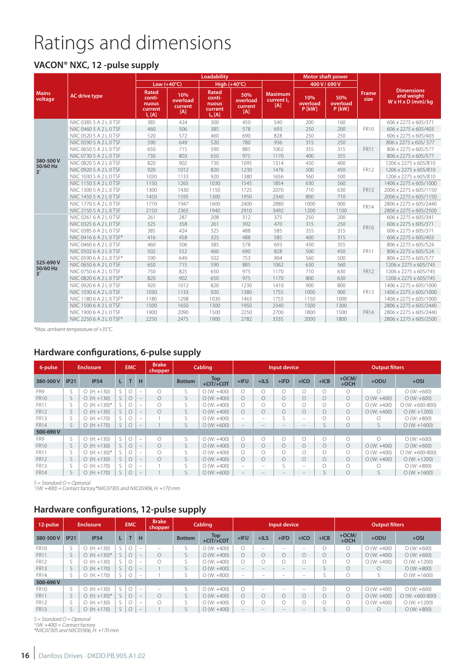#### **VACON® NXC, 12 -pulse supply**

|                         |                         |                                                      |                                   | Loadability                                            |                                   |                                     | <b>Motor shaft power</b>    |                             |               |                                                                  |
|-------------------------|-------------------------|------------------------------------------------------|-----------------------------------|--------------------------------------------------------|-----------------------------------|-------------------------------------|-----------------------------|-----------------------------|---------------|------------------------------------------------------------------|
|                         |                         | Low $(+40^{\circ}C)$                                 |                                   |                                                        | High (+40°C)                      |                                     | 400 V / 690 V               |                             |               |                                                                  |
| <b>Mains</b><br>voltage | <b>AC drive type</b>    | <b>Rated</b><br>conti-<br>nuous<br>current<br>I, [A] | 10%<br>overload<br>current<br>[A] | <b>Rated</b><br>conti-<br>nuous<br>current<br>$I_H[A]$ | 50%<br>overload<br>current<br>[A] | <b>Maximum</b><br>current l.<br>[A] | 10%<br>overload<br>$P$ [kW] | 50%<br>overload<br>$P$ [kW] | Frame<br>size | <b>Dimensions</b><br>and weight<br>$W \times H \times D$ (mm)/kg |
|                         | NXC 0385 5 A 2 L 0 TSF  | 385                                                  | 424                               | 300                                                    | 450                               | 540                                 | 200                         | 160                         |               | 606 x 2275 x 605/371                                             |
|                         | NXC 0460 5 A 2 L 0 TSF  | 460                                                  | 506                               | 385                                                    | 578                               | 693                                 | 250                         | 200                         | <b>FR10</b>   | 606 x 2275 x 605/403                                             |
|                         | NXC 0520 5 A 2 L 0 TSF  | 520                                                  | 572                               | 460                                                    | 690                               | 828                                 | 250                         | 250                         |               | 606 x 2275 x 605/403                                             |
|                         | NXC 0590 5 A 2 L 0 TSF  | 590                                                  | 649                               | 520                                                    | 780                               | 936                                 | 315                         | 250                         |               | 806 x 2275 x 605/577                                             |
|                         | NXC 0650 5 A 2 L 0 TSF  | 650                                                  | 715                               | 590                                                    | 885                               | 1062                                | 355                         | 315                         | <b>FR11</b>   | 806 x 2275 x 605/577                                             |
|                         | NXC 0730 5 A 2 L 0 TSF  | 730                                                  | 803                               | 650                                                    | 975                               | 1170                                | 400                         | 355                         |               | 806 x 2275 x 605/577                                             |
| 380-500 V<br>50/60 Hz   | NXC 0820 5 A 2 L 0 TSF  | 820                                                  | 902                               | 730                                                    | 1095                              | 1314                                | 450                         | 400                         |               | 1206 x 2275 x 605/810                                            |
| 3 <sup>7</sup>          | NXC 0920 5 A 2 L 0 TSF  | 920                                                  | 1012                              | 820                                                    | 1230                              | 1476                                | 500                         | 450                         | FR12          | 1206 x 2275 x 605/810                                            |
|                         | NXC 1030 5 A 2 L 0 TSF  | 1030                                                 | 1133                              | 920                                                    | 1380                              | 1656                                | 560                         | 500                         |               | 1206 x 2275 x 605/810                                            |
|                         | NXC 1150 5 A 2 L 0 TSF  | 1150                                                 | 1265                              | 1030                                                   | 1545                              | 1854                                | 630                         | 560                         |               | 1406 x 2275 x 605/1000                                           |
|                         | NXC 1300 5 A 2 L 0 TSF  | 1300                                                 | 1430                              | 1150                                                   | 1725                              | 2070                                | 710                         | 630                         | <b>FR13</b>   | 2006 x 2275 x 605/1150                                           |
|                         | NXC 1450 5 A 2 L 0 TSF  | 1450                                                 | 1595                              | 1300                                                   | 1950                              | 2340                                | 800                         | 710                         |               | 2006 x 2275 x 605/1150                                           |
|                         | NXC 1770 5 A 2 L 0 TSF  | 1770                                                 | 1947                              | 1600                                                   | 2400                              | 2880                                | 1000                        | 900                         | <b>FR14</b>   | 2806 x 2275 x 605/2440                                           |
|                         | NXC 2150 5 A 2 L 0 TSF  | 2150                                                 | 2365                              | 1940                                                   | 2910                              | 3492                                | 1200                        | 1100                        |               | 2806 x 2275 x 605/2500                                           |
|                         | NXC 0261 6 A 2 L 0 TSF  | 261                                                  | 287                               | 208                                                    | 312                               | 375                                 | 250                         | 200                         |               | 606 x 2275 x 605/341                                             |
|                         | NXC 0325 6 A 2 L 0 TSF  | 325                                                  | 358                               | 261                                                    | 392                               | 470                                 | 315                         | 250                         | <b>FR10</b>   | 606 x 2275 x 605/371                                             |
|                         | NXC 0385 6 A 2 L 0 TSF  | 385                                                  | 424                               | 325                                                    | 488                               | 585                                 | 355                         | 315                         |               | 606 x 2275 x 605/371                                             |
|                         | NXC 0416 6 A 2 L 0 TSF* | 416                                                  | 458                               | 325                                                    | 488                               | 585                                 | 400                         | 315                         |               | 606 x 2275 x 605/403                                             |
|                         | NXC 0460 6 A 2 L 0 TSF  | 460                                                  | 506                               | 385                                                    | 578                               | 693                                 | 450                         | 355                         |               | 806 x 2275 x 605/524                                             |
|                         | NXC 0502 6 A 2 L 0 TSF  | 502                                                  | 552                               | 460                                                    | 690                               | 828                                 | 500                         | 450                         | <b>FR11</b>   | 806 x 2275 x 605/524                                             |
|                         | NXC 0590 6 A 2 L 0 TSF* | 590                                                  | 649                               | 502                                                    | 753                               | 904                                 | 560                         | 500                         |               | 806 x 2275 x 605/577                                             |
| 525-690V<br>50/60 Hz    | NXC 0650 6 A 2 L 0 TSF  | 650                                                  | 715                               | 590                                                    | 885                               | 1062                                | 630                         | 560                         |               | 1206 x 2275 x 605/745                                            |
| 3 <sup>7</sup>          | NXC 0750 6 A 2 L 0 TSF  | 750                                                  | 825                               | 650                                                    | 975                               | 1170                                | 710                         | 630                         | <b>FR12</b>   | 1206 x 2275 x 605/745                                            |
|                         | NXC 0820 6 A 2 L 0 TSF* | 820                                                  | 902                               | 650                                                    | 975                               | 1170                                | 800                         | 630                         |               | 1206 x 2275 x 605/745                                            |
|                         | NXC 0920 6 A 2 L 0 TSF  | 920                                                  | 1012                              | 820                                                    | 1230                              | 1410                                | 900                         | 800                         |               | 1406 x 2275 x 605/1000                                           |
|                         | NXC 1030 6 A 2 L 0 TSF  | 1030                                                 | 1133                              | 920                                                    | 1380                              | 1755                                | 1000                        | 900                         | <b>FR13</b>   | 1406 x 2275 x 605/1000                                           |
|                         | NXC 1180 6 A 2 L 0 TSF* | 1180                                                 | 1298                              | 1030                                                   | 1463                              | 1755                                | 1150                        | 1000                        |               | 1406 x 2275 x 605/1000                                           |
|                         | NXC 1500 6 A 2 L 0 TSF  | 1500                                                 | 1650                              | 1300                                                   | 1950                              | 2340                                | 1500                        | 1300                        |               | 2806 x 2275 x 605/2440                                           |
|                         | NXC 1900 6 A 2 L 0 TSF  | 1900                                                 | 2090                              | 1500                                                   | 2250                              | 2700                                | 1800                        | 1500                        | <b>FR14</b>   | 2806 x 2275 x 605/2440                                           |
|                         | NXC 2250 6 A 2 L 0 TSF* | 2250                                                 | 2475                              | 1900                                                   | 2782                              | 3335                                | 2000                        | 1800                        |               | 2806 x 2275 x 605/2500                                           |

\*Max. ambient temperature of +35°C.

#### **Hardware configurations, 6-pulse supply**

| 6-pulse     |      | <b>Enclosure</b>       |   | <b>EMC</b> |                                 | <b>Brake</b><br><b>chopper</b> |               | <b>Cabling</b>     | Input device             |                          |                                 |                          |            |                   | <b>Output filters</b> |                   |
|-------------|------|------------------------|---|------------|---------------------------------|--------------------------------|---------------|--------------------|--------------------------|--------------------------|---------------------------------|--------------------------|------------|-------------------|-----------------------|-------------------|
| 380-500 V   | IP21 | <b>IP54</b>            |   |            | н                               |                                | <b>Bottom</b> | Top<br>$+CIT/+COT$ | $+IFU$                   | $+ILS$                   | $+$ <b>IFD</b>                  | $+ICO$                   | $+ICB$     | $+OCM/$<br>$+OCH$ | $+$ ODU               | $+OSI$            |
| FR9         |      | $O(H: +130)$           |   |            | $\overline{\phantom{0}}$        |                                |               | $O(W: +400)$       | $\bigcirc$               | 0                        |                                 | Ω                        | $\bigcirc$ | $\bigcirc$        | $\bigcap$             | $O(W: +600)$      |
| FR10        |      | $O(H: +130)$           |   |            |                                 | $\bigcirc$                     | S.            | $O(W: +400)$       | $\circ$                  | 0                        |                                 | $\bigcirc$               | $\bigcirc$ | $\bigcirc$        | $O(W: +400)$          | $O(W: +600)$      |
| <b>FR11</b> |      | $O(H: +130)^*$         |   |            | $\overline{\phantom{0}}$        |                                |               | $O(W: +400)$       | $\bigcirc$               | Ω                        |                                 | Ω                        | $\bigcirc$ | 0                 | $O(W: +400)$          | $O$ (W: +600-800) |
| <b>FR12</b> |      | $O(H: +130)$           |   |            |                                 | Ω                              | S.            | $O(W: +400)$       | $\bigcirc$               | Ō                        | $\bigcirc$                      | Ω                        | $\bigcirc$ | $\circ$           | $O(W: +400)$          | $O(W: +1200)$     |
| <b>FR13</b> |      | $O(H: +170)$           |   |            |                                 |                                |               | $O(W: +400)$       |                          | -                        |                                 | $\overline{\phantom{a}}$ | $\bigcirc$ | $\circ$           | ∩                     | $O(W: +800)$      |
| <b>FR14</b> |      | $O(H: +170)$           | S |            | $\hspace{0.1mm}-\hspace{0.1mm}$ |                                |               | $O(W: +600)$       | $\overline{\phantom{a}}$ | $\overline{\phantom{a}}$ | $\hspace{0.1mm}-\hspace{0.1mm}$ | $\overline{\phantom{a}}$ |            | $\circ$           |                       | $O(W: +1600)$     |
| 500-690V    |      |                        |   |            |                                 |                                |               |                    |                          |                          |                                 |                          |            |                   |                       |                   |
| FR9         | S    | $O(H: +130)$           |   |            | $\overline{\phantom{0}}$        |                                |               | $O(W: +400)$       | $\circ$                  | Ō                        |                                 | $\bigcirc$               | $\bigcirc$ | $\bigcirc$        | $\bigcap$             | $O(W: +600)$      |
| <b>FR10</b> |      | $O(H: +130)$           |   |            |                                 | $\bigcirc$                     | S             | $O(W: +400)$       | $\circ$                  | 0                        |                                 | $\bigcirc$               | $\bigcirc$ | $\circ$           | $O(W: +400)$          | $O(W: +600)$      |
| <b>FR11</b> |      | $O(H: +130)^*$         |   |            | $\overline{\phantom{0}}$        |                                | S.            | $O(W: +400)$       | $\bigcirc$               | Ō                        |                                 | Ω                        | $\bigcirc$ | $\bigcirc$        | $O(W: +400)$          | $O$ (W: +600-800) |
| <b>FR12</b> | S    | $O(H: +130)$           |   |            |                                 | Ω                              |               | $O(W: +400)$       | $\circ$                  | 0                        |                                 | Ω                        | $\bigcirc$ | $\circ$           | $O(W: +400)$          | $O(W: +1200)$     |
| <b>FR13</b> |      | $O(H: +170)$           |   |            | $\overline{\phantom{0}}$        |                                |               | $O(W: +400)$       | $\overline{\phantom{0}}$ | $\overline{\phantom{0}}$ |                                 | $\overline{\phantom{a}}$ | $\bigcirc$ | $\bigcirc$        | $\bigcirc$            | $O(W: +800)$      |
| <b>FR14</b> |      | $(H: +170)$<br>$\circ$ |   |            |                                 |                                |               | $O(W: +600)$       | $\qquad \qquad -$        |                          |                                 |                          |            | $\bigcirc$        |                       | $O(W: +1600)$     |

S = Standard O = Optional<br>''(W: +400) = Contact factory\*NXC07305 and NXC05906, H: +170 mm

#### **Hardware configurations, 12-pulse supply**

| 12-pulse    |      | <b>Enclosure</b> | <b>EMC</b> |                          | <b>Brake</b><br>chopper |               | Cabling                   |                          | Input device             |                          |                          |           |                   | <b>Output filters</b> |                   |  |  |
|-------------|------|------------------|------------|--------------------------|-------------------------|---------------|---------------------------|--------------------------|--------------------------|--------------------------|--------------------------|-----------|-------------------|-----------------------|-------------------|--|--|
| 380-500 V   | IP21 | <b>IP54</b>      |            | н                        |                         | <b>Bottom</b> | <b>Top</b><br>$+CIT/+COT$ | $+IFU$                   | $+ILS$                   | $+IFD$                   | $+ICO$                   | $+ICB$    | $+OCM/$<br>$+OCH$ | $+$ ODU               | $+OSI$            |  |  |
| <b>FR10</b> |      | $O(H: +130)$     |            |                          |                         |               | $O(W: +400)$              | $\circ$                  |                          | $\overline{\phantom{a}}$ | $\overline{\phantom{a}}$ |           | $\bigcirc$        | $O(W: +400)$          | $O(W: +600)$      |  |  |
| <b>FR11</b> |      | $O(H: +130)^*$   |            | $\overline{\phantom{a}}$ | Ō                       |               | $O(W: +400)$              | $\circ$                  | 0                        |                          | $\circ$                  |           | $\circ$           | $O(W: +400)$          | $O(W: +600)$      |  |  |
| <b>FR12</b> |      | $O(H: +130)$     |            | $\overline{\phantom{a}}$ |                         |               | $O(W: +400)$              | $\bigcirc$               | Ō                        |                          | Ω                        |           | $\bigcirc$        | $O(W: +400)$          | $O(W: +1200)$     |  |  |
| <b>FR13</b> |      | $O(H: +170)$     |            | $\overline{\phantom{a}}$ |                         |               | $O(W: +400)$              | $\qquad \qquad -$        | $\qquad \qquad -$        | $\overline{\phantom{a}}$ | $\overline{\phantom{a}}$ |           | $\bigcirc$        | $\bigcap$             | $O(W: +800)$      |  |  |
| <b>FR14</b> |      | $O(H: +170)$     |            | $\overline{\phantom{0}}$ |                         |               | $O(W: +800)$              | $\overline{\phantom{m}}$ | $\overline{\phantom{a}}$ |                          | $\overline{\phantom{a}}$ |           | O                 |                       | $O(W: +1600)$     |  |  |
| 500-690V    |      |                  |            |                          |                         |               |                           |                          |                          |                          |                          |           |                   |                       |                   |  |  |
| <b>FR10</b> |      | $O(H: +130)$     |            | $\overline{\phantom{0}}$ |                         |               | $O(W: +400)$              | $\bigcirc$               | $\overline{\phantom{m}}$ | $\overline{\phantom{a}}$ | $\overline{\phantom{a}}$ |           | $\bigcirc$        | $O(W: +400)$          | $O(W: +600)$      |  |  |
| <b>FR11</b> |      | $O(H: +130)^*$   |            | $\overline{\phantom{a}}$ | Ω                       |               | $O(W: +400)$              | $\circ$                  | 0                        |                          | $\bigcirc$               | $\bigcap$ | $\bigcirc$        | $O(W: +400)$          | $O$ (W: +600-800) |  |  |
| <b>FR12</b> |      | $O(H: +130)$     |            | $\overline{\phantom{a}}$ |                         |               | $O(W: +400)$              | 0                        | 0                        |                          | Ω                        |           | $\bigcirc$        | $O(W: +400)$          | $O(W: +1200)$     |  |  |
| <b>FR13</b> |      | $O(H: +170)$     |            |                          |                         |               | $O(W: +400)$              | $\qquad \qquad -$        |                          |                          |                          |           | $\bigcirc$        |                       | $O(W: +800)$      |  |  |

 $S = Standard O = Optical$ 

1)(W: +400) = Contact factory \*NXC07305 and NXC05906, H: +170 mm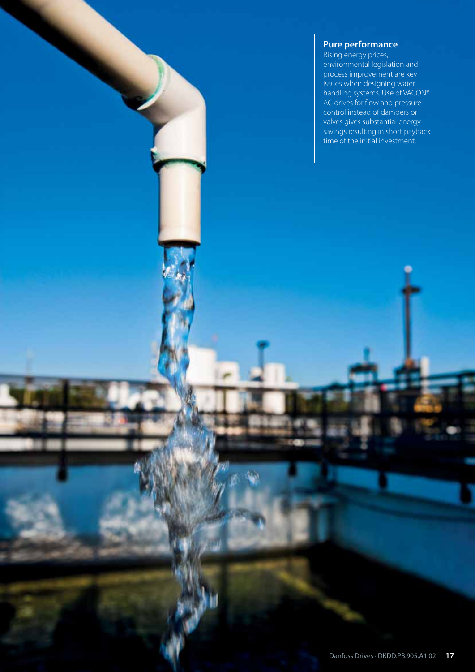#### **Pure performance**

Rising energy prices, environmental legislation and process improvement are key issues when designing water handling systems. Use of VACON® AC drives for flow and pressure control instead of dampers or valves gives substantial energy savings resulting in short payback time of the initial investment.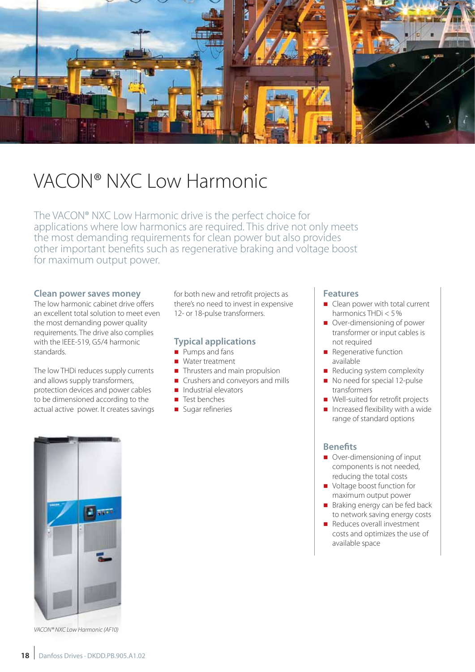

## VACON® NXC Low Harmonic

The VACON® NXC Low Harmonic drive is the perfect choice for applications where low harmonics are required. This drive not only meets the most demanding requirements for clean power but also provides other important benefits such as regenerative braking and voltage boost for maximum output power.

#### **Clean power saves money**

The low harmonic cabinet drive offers an excellent total solution to meet even the most demanding power quality requirements. The drive also complies with the IEEE-519, G5/4 harmonic standards.

The low THDi reduces supply currents and allows supply transformers, protection devices and power cables to be dimensioned according to the actual active power. It creates savings for both new and retrofit projects as there's no need to invest in expensive 12- or 18-pulse transformers.

#### **Typical applications**

- **Pumps and fans**
- Water treatment
- **Thrusters and main propulsion**
- **Crushers and conveyors and mills**
- **Industrial elevators**
- **Test benches**
- Sugar refineries

#### **Features**

- Clean power with total current harmonics THDi < 5 %
- Over-dimensioning of power transformer or input cables is not required
- $\blacksquare$  Regenerative function available
- Reducing system complexity
- No need for special 12-pulse transformers
- Well-suited for retrofit projects
- $\blacksquare$  Increased flexibility with a wide range of standard options

#### **Benefits**

- Over-dimensioning of input components is not needed, reducing the total costs
- Voltage boost function for maximum output power
- Braking energy can be fed back to network saving energy costs
- Reduces overall investment costs and optimizes the use of available space



VACON® NXC Low Harmonic (AF10)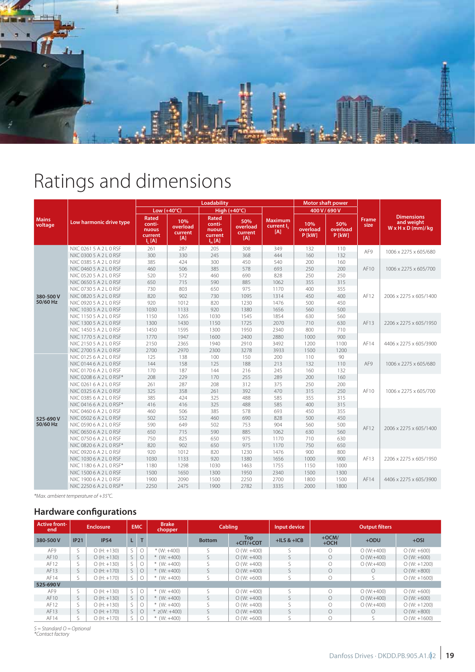

|                         |                         |                                               |                                   | Loadability                                        |                                   |                                                 |                             | <b>Motor shaft power</b>    |                      |                                                                  |  |
|-------------------------|-------------------------|-----------------------------------------------|-----------------------------------|----------------------------------------------------|-----------------------------------|-------------------------------------------------|-----------------------------|-----------------------------|----------------------|------------------------------------------------------------------|--|
|                         |                         | Low $(+40^{\circ}C)$                          |                                   |                                                    | High (+40°C)                      |                                                 |                             | 400 V / 690 V               |                      |                                                                  |  |
| <b>Mains</b><br>voltage | Low harmonic drive type | Rated<br>conti-<br>nuous<br>current<br>I, [A] | 10%<br>overload<br>current<br>[A] | Rated<br>conti-<br>nuous<br>current<br>$I_{H}$ [A] | 50%<br>overload<br>current<br>[A] | <b>Maximum</b><br>current I <sub>s</sub><br>[A] | 10%<br>overload<br>$P$ [kW] | 50%<br>overload<br>$P$ [kW] | <b>Frame</b><br>size | <b>Dimensions</b><br>and weight<br>$W \times H \times D$ (mm)/kg |  |
|                         | NXC 0261 5 A 2 L 0 RSF  | 261                                           | 287                               | 205                                                | 308                               | 349                                             | 132                         | 110                         | AF9                  | 1006 x 2275 x 605/680                                            |  |
|                         | NXC 0300 5 A 2 L 0 RSF  | 300                                           | 330                               | 245                                                | 368                               | 444                                             | 160                         | 132                         |                      |                                                                  |  |
|                         | NXC 0385 5 A 2 L 0 RSF  | 385                                           | 424                               | 300                                                | 450                               | 540                                             | 200                         | 160                         |                      |                                                                  |  |
|                         | NXC 0460 5 A 2 L 0 RSF  | 460                                           | 506                               | 385                                                | 578                               | 693                                             | 250                         | 200                         | AF10                 | 1006 x 2275 x 605/700                                            |  |
|                         | NXC 0520 5 A 2 L 0 RSF  | 520                                           | 572                               | 460                                                | 690                               | 828                                             | 250                         | 250                         |                      |                                                                  |  |
|                         | NXC 0650 5 A 2 L 0 RSF  | 650                                           | 715                               | 590                                                | 885                               | 1062                                            | 355                         | 315                         |                      |                                                                  |  |
|                         | NXC 0730 5 A 2 L 0 RSF  | 730                                           | 803                               | 650                                                | 975                               | 1170                                            | 400                         | 355                         |                      |                                                                  |  |
| 380-500 V               | NXC 0820 5 A 2 L 0 RSF  | 820                                           | 902                               | 730                                                | 1095                              | 1314                                            | 450                         | 400                         | AF12                 | 2006 x 2275 x 605/1400                                           |  |
| 50/60 Hz                | NXC 0920 5 A 2 L 0 RSF  | 920                                           | 1012                              | 820                                                | 1230                              | 1476                                            | 500                         | 450                         |                      |                                                                  |  |
|                         | NXC 1030 5 A 2 L 0 RSF  | 1030                                          | 1133                              | 920                                                | 1380                              | 1656                                            | 560                         | 500                         |                      |                                                                  |  |
|                         | NXC 1150 5 A 2 L 0 RSF  | 1150                                          | 1265                              | 1030                                               | 1545                              | 1854                                            | 630                         | 560                         |                      |                                                                  |  |
|                         | NXC 1300 5 A 2 L 0 RSF  | 1300                                          | 1430                              | 1150                                               | 1725                              | 2070                                            | 710                         | 630                         | AF13                 | 2206 x 2275 x 605/1950                                           |  |
|                         | NXC 1450 5 A 2 L 0 RSF  | 1450                                          | 1595                              | 1300                                               | 1950                              | 2340                                            | 800                         | 710                         |                      |                                                                  |  |
|                         | NXC 1770 5 A 2 L 0 RSF  | 1770                                          | 1947                              | 1600                                               | 2400                              | 2880                                            | 1000                        | 900                         |                      |                                                                  |  |
|                         | NXC 2150 5 A 2 L 0 RSF  | 2150                                          | 2365                              | 1940                                               | 2910                              | 3492                                            | 1200                        | 1100                        | AF14                 | 4406 x 2275 x 605/3900                                           |  |
|                         | NXC 2700 5 A 2 L 0 RSF  | 2700                                          | 2970                              | 2300                                               | 3278                              | 3933                                            | 1500                        | 1200                        |                      |                                                                  |  |
|                         | NXC 0125 6 A 2 L 0 RSF  | 125                                           | 138                               | 100                                                | 150                               | 200                                             | 110                         | 90                          |                      |                                                                  |  |
|                         | NXC 0144 6 A 2 L 0 RSF  | 144                                           | 158                               | 125                                                | 188                               | 213                                             | 132                         | 110                         | AF9                  | 1006 x 2275 x 605/680                                            |  |
|                         | NXC 0170 6 A 2 L 0 RSF  | 170                                           | 187                               | 144                                                | 216                               | 245                                             | 160                         | 132                         |                      |                                                                  |  |
|                         | NXC 0208 6 A 2 L 0 RSF* | 208                                           | 229                               | 170                                                | 255                               | 289                                             | 200                         | 160                         |                      |                                                                  |  |
|                         | NXC 0261 6 A 2 L 0 RSF  | 261                                           | 287                               | 208                                                | 312                               | 375                                             | 250                         | 200                         |                      |                                                                  |  |
|                         | NXC 0325 6 A 2 L 0 RSF  | 325                                           | 358                               | 261                                                | 392                               | 470                                             | 315                         | 250                         | AF10                 | 1006 x 2275 x 605/700                                            |  |
|                         | NXC 0385 6 A 2 L 0 RSF  | 385                                           | 424                               | 325                                                | 488                               | 585                                             | 355                         | 315                         |                      |                                                                  |  |
|                         | NXC 0416 6 A 2 L 0 RSF* | 416                                           | 416                               | 325                                                | 488                               | 585                                             | 400                         | 315                         |                      |                                                                  |  |
|                         | NXC 0460 6 A 2 L 0 RSF  | 460                                           | 506                               | 385                                                | 578                               | 693                                             | 450                         | 355                         |                      |                                                                  |  |
| 525-690 V               | NXC 0502 6 A 2 L 0 RSF  | 502                                           | 552                               | 460                                                | 690                               | 828                                             | 500                         | 450                         |                      |                                                                  |  |
| 50/60 Hz                | NXC 0590 6 A 2 L 0 RSF  | 590                                           | 649                               | 502                                                | 753                               | 904                                             | 560                         | 500                         | AF12                 | 2006 x 2275 x 605/1400                                           |  |
|                         | NXC 0650 6 A 2 L 0 RSF  | 650                                           | 715                               | 590                                                | 885                               | 1062                                            | 630                         | 560                         |                      |                                                                  |  |
|                         | NXC 0750 6 A 2 L 0 RSF  | 750                                           | 825                               | 650                                                | 975                               | 1170                                            | 710                         | 630                         |                      |                                                                  |  |
|                         | NXC 0820 6 A 2 L 0 RSF* | 820                                           | 902                               | 650                                                | 975                               | 1170                                            | 750                         | 650                         |                      |                                                                  |  |
|                         | NXC 0920 6 A 2 L 0 RSF  | 920                                           | 1012                              | 820                                                | 1230                              | 1476                                            | 900                         | 800                         |                      |                                                                  |  |
|                         | NXC 1030 6 A 2 L 0 RSF  | 1030                                          | 1133                              | 920                                                | 1380                              | 1656                                            | 1000                        | 900                         | AF13                 | 2206 x 2275 x 605/1950                                           |  |
|                         | NXC 1180 6 A 2 L 0 RSF* | 1180                                          | 1298                              | 1030                                               | 1463                              | 1755                                            | 1150                        | 1000                        |                      |                                                                  |  |
|                         | NXC 1500 6 A 2 L 0 RSF  | 1500                                          | 1650                              | 1300                                               | 1950                              | 2340                                            | 1500                        | 1300                        |                      |                                                                  |  |
|                         | NXC 1900 6 A 2 L 0 RSF  | 1900                                          | 2090                              | 1500                                               | 2250                              | 2700                                            | 1800                        | 1500                        | AF14                 | 4406 x 2275 x 605/3900                                           |  |
|                         | NXC 2250 6 A 2 L 0 RSF* | 2250                                          | 2475                              | 1900                                               | 2782                              | 3335                                            | 2000                        | 1800                        |                      |                                                                  |  |

\*Max. ambient temperature of +35°C.

#### **Hardware configurations**

| <b>Active front-</b><br>end | <b>Enclosure</b> |              |    | <b>EMC</b> | <b>Brake</b><br>chopper |               | <b>Cabling</b>     | Input device | <b>Output filters</b> |              |               |  |
|-----------------------------|------------------|--------------|----|------------|-------------------------|---------------|--------------------|--------------|-----------------------|--------------|---------------|--|
| 380-500 V                   | IP21             | <b>IP54</b>  |    |            |                         | <b>Bottom</b> | Top<br>$+CIT/+COT$ | $+ILS &+ICB$ | $+OCM/$<br>$+OCH$     | $+$ ODU      | $+OSI$        |  |
| AF9                         | S.               | $O(H: +130)$ | S. | U          | $*(W: +400)$            |               | $O(W: +400)$       |              | $\bigcirc$            | $O(W: +400)$ | $O(W: +600)$  |  |
| AF10                        | S                | $O(H: +130)$ | S. | $\circ$    | $(W: +400)$             |               | $O(W: +400)$       |              | $\circ$               | $O(W: +400)$ | $O(W: +600)$  |  |
| AF12                        |                  | $O(H: +130)$ |    |            | $(W: +400)$             |               | $O(W: +400)$       |              | $\circ$               | $O(W: +400)$ | $O(W: +1200)$ |  |
| AF13                        |                  | $O(H: +170)$ | S. | $\circ$    | $(W: +400)$             |               | $O(W: +400)$       |              | $\circ$               | Ω            | $O(W: +800)$  |  |
| AF14                        |                  | $O(H: +170)$ |    |            | $(W: +400)$             |               | $O(W: +600)$       |              | $\circ$               |              | $O(W: +1600)$ |  |
| 525-690 V                   |                  |              |    |            |                         |               |                    |              |                       |              |               |  |
| AF9                         | S                | $O(H: +130)$ | S. |            | $(W: +400)$             |               | $O(W: +400)$       |              | $\bigcirc$            | $O(W: +400)$ | $O(W: +600)$  |  |
| AF10                        | S.               | $O(H: +130)$ | S. | $\circ$    | $(W: +400)$             |               | $O(W: +400)$       |              | $\circ$               | $O(W: +400)$ | $O(W: +600)$  |  |
| AF12                        |                  | $O(H: +130)$ | S. |            | $(W: +400)$             |               | $O(W: +400)$       |              | $\bigcirc$            | $O(W: +400)$ | $O(W: +1200)$ |  |
| AF13                        | S.               | $O(H: +170)$ |    | $\circ$    | $Z(W: +400)$            |               | $O(W: +400)$       |              | $\circ$               | Ω            | $O(W: +800)$  |  |
| AF14                        |                  | $O(H: +170)$ |    |            | $(W: +400)$             |               | $O(W: +600)$       |              | $\circ$               |              | $O(W: +1600)$ |  |

S = Standard O = Optional \*Contact factory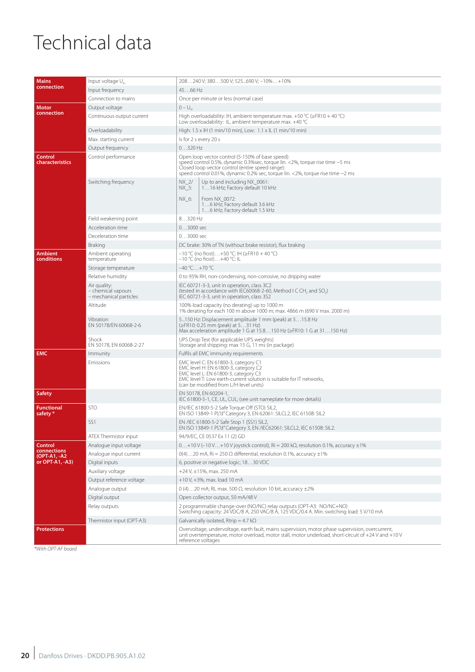## Technical data

| <b>Mains</b>                 | Input voltage U <sub>in</sub>                                | 208240 V; 380500 V; 525690 V; -10%+10%                                                                                                                                                                                                                                 |  |  |  |  |  |  |  |  |  |
|------------------------------|--------------------------------------------------------------|------------------------------------------------------------------------------------------------------------------------------------------------------------------------------------------------------------------------------------------------------------------------|--|--|--|--|--|--|--|--|--|
| connection                   | Input frequency                                              | 4566 Hz                                                                                                                                                                                                                                                                |  |  |  |  |  |  |  |  |  |
|                              | Connection to mains                                          | Once per minute or less (normal case)                                                                                                                                                                                                                                  |  |  |  |  |  |  |  |  |  |
| <b>Motor</b>                 | Output voltage                                               | $0-U_{in}$                                                                                                                                                                                                                                                             |  |  |  |  |  |  |  |  |  |
| connection                   | Continuous output current                                    | High overloadability: IH, ambient temperature max. +50 °C ( $\geq$ FR10 + 40 °C)<br>Low overloadability: IL, ambient temperature max. +40 °C                                                                                                                           |  |  |  |  |  |  |  |  |  |
|                              | Overloadability                                              | High: 1.5 x IH (1 min/10 min), Low: 1.1 x IL (1 min/10 min)                                                                                                                                                                                                            |  |  |  |  |  |  |  |  |  |
|                              | Max. starting current                                        | Is for 2 s every 20 s                                                                                                                                                                                                                                                  |  |  |  |  |  |  |  |  |  |
|                              | Output frequency                                             | $0320$ Hz                                                                                                                                                                                                                                                              |  |  |  |  |  |  |  |  |  |
| Control<br>characteristics   | Control performance                                          | Open loop vector control (5-150% of base speed):<br>speed control 0.5%, dynamic 0.3%sec, torque lin. <2%, torque rise time ~5 ms<br>Closed loop vector control (entire speed range):<br>speed control 0.01%, dynamic 0.2% sec, torque lin. <2%, torque rise time ~2 ms |  |  |  |  |  |  |  |  |  |
|                              | Switching frequency                                          | $NX_2/$<br>Up to and including NX_0061:<br>$NX_5$ :<br>116 kHz; Factory default 10 kHz<br>$NX_6$ :<br>From NX_0072:<br>16 kHz; Factory default 3.6 kHz                                                                                                                 |  |  |  |  |  |  |  |  |  |
|                              |                                                              | 16 kHz; Factory default 1.5 kHz                                                                                                                                                                                                                                        |  |  |  |  |  |  |  |  |  |
|                              | Field weakening point                                        | 8320 Hz                                                                                                                                                                                                                                                                |  |  |  |  |  |  |  |  |  |
|                              | Acceleration time                                            | $03000$ sec                                                                                                                                                                                                                                                            |  |  |  |  |  |  |  |  |  |
|                              | Deceleration time                                            | $03000$ sec                                                                                                                                                                                                                                                            |  |  |  |  |  |  |  |  |  |
|                              | <b>Braking</b>                                               | DC brake: 30% of TN (without brake resistor), flux braking                                                                                                                                                                                                             |  |  |  |  |  |  |  |  |  |
| Ambient<br>conditions        | Ambient operating<br>temperature                             | $-10$ °C (no frost) +50 °C: IH (≥FR10 + 40 °C)<br>-10 °C (no frost)+40 °C: IL                                                                                                                                                                                          |  |  |  |  |  |  |  |  |  |
|                              | Storage temperature                                          | -40 °C+70 °C                                                                                                                                                                                                                                                           |  |  |  |  |  |  |  |  |  |
|                              | Relative humidity                                            | 0 to 95% RH, non-condensing, non-corrosive, no dripping water                                                                                                                                                                                                          |  |  |  |  |  |  |  |  |  |
|                              | Air quality:<br>- chemical vapours<br>- mechanical particles | IEC 60721-3-3, unit in operation, class 3C2<br>(tested in accordance with IEC60068-2-60, Method I C CH <sub>2</sub> and SO <sub>2</sub> )<br>IEC 60721-3-3, unit in operation, class 3S2                                                                               |  |  |  |  |  |  |  |  |  |
|                              | Altitude                                                     | 100% load capacity (no derating) up to 1000 m<br>1% derating for each 100 m above 1000 m; max. 4866 m (690 V max. 2000 m)                                                                                                                                              |  |  |  |  |  |  |  |  |  |
|                              | Vibration<br>EN 50178/EN 60068-2-6                           | 5150 Hz: Displacement amplitude 1 mm (peak) at 515.8 Hz<br>(≥FR10: 0.25 mm (peak) at 531 Hz)<br>Max acceleration amplitude 1 G at $15.8150$ Hz ( $\geq$ FR10: 1 G at 31150 Hz)                                                                                         |  |  |  |  |  |  |  |  |  |
|                              | Shock<br>EN 50178, EN 60068-2-27                             | UPS Drop Test (for applicable UPS weights)<br>Storage and shipping: max 15 G, 11 ms (in package)                                                                                                                                                                       |  |  |  |  |  |  |  |  |  |
| <b>EMC</b>                   | Immunity                                                     | Fulfils all EMC immunity requirements                                                                                                                                                                                                                                  |  |  |  |  |  |  |  |  |  |
|                              | Emissions                                                    | EMC level C: EN 61800-3, category C1<br>EMC level H: EN 61800-3, category C2<br>EMC level L: EN 61800-3, category C3<br>EMC level T: Low earth-current solution is suitable for IT networks,<br>(can be modified from L/H-level units)                                 |  |  |  |  |  |  |  |  |  |
| <b>Safety</b>                |                                                              | EN 50178. EN 60204-1.<br>IEC 61800-5-1, CE, UL, CUL; (see unit nameplate for more details)                                                                                                                                                                             |  |  |  |  |  |  |  |  |  |
| <b>Functional</b><br>safety* | <b>STO</b>                                                   | EN/IEC 61800-5-2 Safe Torque Off (STO) SIL2,<br>EN ISO 13849-1 PL"d" Category 3, EN 62061: SILCL2, IEC 61508: SIL2                                                                                                                                                     |  |  |  |  |  |  |  |  |  |
|                              | SS <sub>1</sub>                                              | EN /IEC 61800-5-2 Safe Stop 1 (SS1) SIL2,<br>EN ISO 13849-1 PL"d" Category 3, EN /IEC62061: SILCL2, IEC 61508: SIL2.                                                                                                                                                   |  |  |  |  |  |  |  |  |  |
|                              | ATEX Thermistor input                                        | 94/9/EC, CE 0537 Ex 11 (2) GD                                                                                                                                                                                                                                          |  |  |  |  |  |  |  |  |  |
| Control<br>connections       | Analogue input voltage                                       | $0+10$ V (-10 V+10 V joystick control), Ri = 200 k $\Omega$ , resolution 0.1%, accuracy $\pm 1\%$                                                                                                                                                                      |  |  |  |  |  |  |  |  |  |
| (OPT-A1, -A2                 | Analogue input current                                       | $O(4) \dots 20$ mA, Ri = 250 $\Omega$ differential, resolution 0.1%, accuracy $\pm 1\%$                                                                                                                                                                                |  |  |  |  |  |  |  |  |  |
| or OPT-A1, -A3)              | Digital inputs                                               | 6, positive or negative logic; 1830 VDC                                                                                                                                                                                                                                |  |  |  |  |  |  |  |  |  |
|                              | Auxiliary voltage                                            | +24 V, ±15%, max. 250 mA                                                                                                                                                                                                                                               |  |  |  |  |  |  |  |  |  |
|                              | Output reference voltage                                     | $+10$ V, $+3%$ , max. load 10 mA                                                                                                                                                                                                                                       |  |  |  |  |  |  |  |  |  |
|                              | Analogue output                                              | 0 (4)20 mA; RL max. 500 $\Omega$ , resolution 10 bit, accuracy $\pm 2\%$                                                                                                                                                                                               |  |  |  |  |  |  |  |  |  |
|                              | Digital output                                               | Open collector output, 50 mA/48 V                                                                                                                                                                                                                                      |  |  |  |  |  |  |  |  |  |
|                              | Relay outputs                                                | 2 programmable change-over (NO/NC) relay outputs (OPT-A3: NO/NC+NO)<br>Switching capacity: 24 VDC/8 A, 250 VAC/8 A, 125 VDC/0.4 A. Min. switching load: 5 V/10 mA                                                                                                      |  |  |  |  |  |  |  |  |  |
|                              | Thermistor input (OPT-A3)                                    | Galvanically isolated, Rtrip = 4.7 k $\Omega$                                                                                                                                                                                                                          |  |  |  |  |  |  |  |  |  |
| <b>Protections</b>           |                                                              | Overvoltage, undervoltage, earth fault, mains supervision, motor phase supervision, overcurrent,<br>unit overtemperature, motor overload, motor stall, motor underload, short-circuit of +24 V and +10 V<br>reference voltages                                         |  |  |  |  |  |  |  |  |  |

\*With OPT-AF board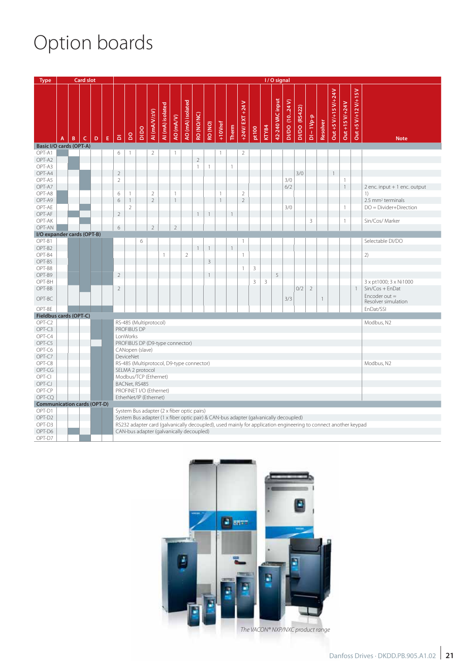## Option boards

| <b>Type</b>                        | <b>Card slot</b> |   |   |   |    |                         | 1/O signal         |                         |                |                                 |                |                                            |                  |              |              |              |                |       |              |                  |                                                                                                                |                  |                   |                |                          |                      |                   |                                        |
|------------------------------------|------------------|---|---|---|----|-------------------------|--------------------|-------------------------|----------------|---------------------------------|----------------|--------------------------------------------|------------------|--------------|--------------|--------------|----------------|-------|--------------|------------------|----------------------------------------------------------------------------------------------------------------|------------------|-------------------|----------------|--------------------------|----------------------|-------------------|----------------------------------------|
|                                    | Α                | B | C | D | E. | $\overline{\mathbf{a}}$ | 8                  | DIDO                    | AI (mA/V/±V)   | AI (mA) isolated                | AO (mAVV)      | AO (mA) isolated                           | RO (NO/NC)       | RO (NO)      | $+10$ Vref   | Therm        | +24V/EXT +24V  | pt100 | <b>KTY84</b> | 42-240 VAC input | DI/DO (1024V)                                                                                                  | (RS422)<br>DI/DO | $DI \sim IVP - P$ | Resolver       | $Out +5 V/ +15 V/ +24 V$ | Out +15 $V$ /+24 $V$ | Out +5V/+12V/+15V | <b>Note</b>                            |
| <b>Basic I/O cards (OPT-A)</b>     |                  |   |   |   |    |                         |                    |                         |                |                                 |                |                                            |                  |              |              |              |                |       |              |                  |                                                                                                                |                  |                   |                |                          |                      |                   |                                        |
| OPT-A1                             |                  |   |   |   |    | 6                       | 1                  |                         | $\overline{2}$ |                                 | $\mathbf{1}$   |                                            |                  |              | $\mathbf{1}$ |              | $\overline{2}$ |       |              |                  |                                                                                                                |                  |                   |                |                          |                      |                   |                                        |
| OPT-A2                             |                  |   |   |   |    |                         |                    |                         |                |                                 |                |                                            | $\sqrt{2}$       |              |              |              |                |       |              |                  |                                                                                                                |                  |                   |                |                          |                      |                   |                                        |
| OPT-A3                             |                  |   |   |   |    |                         |                    |                         |                |                                 |                |                                            | 1                | $\mathbf{1}$ |              | $\mathbf{1}$ |                |       |              |                  |                                                                                                                |                  |                   |                |                          |                      |                   |                                        |
| OPT-A4                             |                  |   |   |   |    | $\overline{2}$          |                    |                         |                |                                 |                |                                            |                  |              |              |              |                |       |              |                  |                                                                                                                | 3/0              |                   |                | $\mathbf{1}$             |                      |                   |                                        |
| OPT-A5                             |                  |   |   |   |    | $\overline{2}$          |                    |                         |                |                                 |                |                                            |                  |              |              |              |                |       |              |                  | 3/0                                                                                                            |                  |                   |                |                          | 1                    |                   |                                        |
| OPT-A7                             |                  |   |   |   |    |                         |                    |                         |                |                                 |                |                                            |                  |              |              |              |                |       |              |                  | 6/2                                                                                                            |                  |                   |                |                          | $\mathbf{1}$         |                   | $2$ enc. input $+1$ enc. output        |
| OPT-A8                             |                  |   |   |   |    | 6                       | $\mathbf{1}$       |                         | $\sqrt{2}$     |                                 | $\mathbf{1}$   |                                            |                  |              | $\mathbf{1}$ |              | $\overline{2}$ |       |              |                  |                                                                                                                |                  |                   |                |                          |                      |                   | 1)                                     |
| OPT-A9                             |                  |   |   |   |    | 6                       | $\mathbf{1}$       |                         | $\overline{2}$ |                                 | $\overline{1}$ |                                            |                  |              | $\mathbf{1}$ |              | $\overline{2}$ |       |              |                  |                                                                                                                |                  |                   |                |                          |                      |                   | 2.5 mm <sup>2</sup> terminals          |
| OPT-AE                             |                  |   |   |   |    |                         | $\overline{2}$     |                         |                |                                 |                |                                            |                  |              |              |              |                |       |              |                  | 3/0                                                                                                            |                  |                   |                |                          | 1                    |                   | DO = Divider+Direction                 |
| OPT-AF                             |                  |   |   |   |    | $\overline{2}$          |                    |                         |                |                                 |                |                                            | $\mathbf{1}$     |              |              | $\,1\,$      |                |       |              |                  |                                                                                                                |                  |                   |                |                          |                      |                   |                                        |
| OPT-AK                             |                  |   |   |   |    |                         |                    |                         |                |                                 |                |                                            |                  |              |              |              |                |       |              |                  |                                                                                                                |                  | 3                 |                |                          | 1                    |                   | Sin/Cos/ Marker                        |
| OPT-AN                             |                  |   |   |   |    | 6                       |                    |                         | $\overline{2}$ |                                 | $\overline{2}$ |                                            |                  |              |              |              |                |       |              |                  |                                                                                                                |                  |                   |                |                          |                      |                   |                                        |
| I/O expander cards (OPT-B)         |                  |   |   |   |    |                         |                    |                         |                |                                 |                |                                            |                  |              |              |              |                |       |              |                  |                                                                                                                |                  |                   |                |                          |                      |                   |                                        |
| OPT-B1                             |                  |   |   |   |    |                         |                    | 6                       |                |                                 |                |                                            |                  |              |              |              | $\mathbf{1}$   |       |              |                  |                                                                                                                |                  |                   |                |                          |                      |                   | Selectable DI/DO                       |
| OPT-B2                             |                  |   |   |   |    |                         |                    |                         |                |                                 |                |                                            | $\left  \right $ | $\mathbf{1}$ |              | $\mathbf{1}$ |                |       |              |                  |                                                                                                                |                  |                   |                |                          |                      |                   |                                        |
| OPT-B4                             |                  |   |   |   |    |                         |                    |                         |                | 1                               |                | $\overline{2}$                             |                  |              |              |              | $\mathbf{1}$   |       |              |                  |                                                                                                                |                  |                   |                |                          |                      |                   | 2)                                     |
| OPT-B5                             |                  |   |   |   |    |                         |                    |                         |                |                                 |                |                                            |                  | 3            |              |              |                |       |              |                  |                                                                                                                |                  |                   |                |                          |                      |                   |                                        |
| OPT-B8                             |                  |   |   |   |    |                         |                    |                         |                |                                 |                |                                            |                  |              |              |              | $\mathbf{1}$   | 3     |              |                  |                                                                                                                |                  |                   |                |                          |                      |                   |                                        |
| OPT-B9                             |                  |   |   |   |    | $\overline{2}$          |                    |                         |                |                                 |                |                                            |                  |              |              |              |                |       |              | 5                |                                                                                                                |                  |                   |                |                          |                      |                   |                                        |
| OPT-BH                             |                  |   |   |   |    |                         |                    |                         |                |                                 |                |                                            |                  |              |              |              |                | 3     | 3            |                  |                                                                                                                |                  |                   |                |                          |                      |                   | 3 x pt1000; 3 x Ni1000                 |
| OPT-BB                             |                  |   |   |   |    | $\overline{2}$          |                    |                         |                |                                 |                |                                            |                  |              |              |              |                |       |              |                  |                                                                                                                | 0/2              | $\overline{2}$    |                |                          |                      |                   | Sin/Cos + EnDat                        |
| OPT-BC                             |                  |   |   |   |    |                         |                    |                         |                |                                 |                |                                            |                  |              |              |              |                |       |              |                  | 3/3                                                                                                            |                  |                   | $\overline{1}$ |                          |                      |                   | Encoder out $=$<br>Resolver simulation |
| OPT-BE                             |                  |   |   |   |    |                         |                    |                         |                |                                 |                |                                            |                  |              |              |              |                |       |              |                  |                                                                                                                |                  |                   |                |                          |                      |                   | EnDat/SSI                              |
| Fieldbus cards (OPT-C)             |                  |   |   |   |    |                         |                    |                         |                |                                 |                |                                            |                  |              |              |              |                |       |              |                  |                                                                                                                |                  |                   |                |                          |                      |                   |                                        |
| OPT-C2                             |                  |   |   |   |    |                         |                    | RS-485 (Multiprotocol)  |                |                                 |                |                                            |                  |              |              |              |                |       |              |                  |                                                                                                                |                  |                   |                |                          |                      |                   | Modbus, N2                             |
| OPT-C3                             |                  |   |   |   |    |                         | <b>PROFIBUS DP</b> |                         |                |                                 |                |                                            |                  |              |              |              |                |       |              |                  |                                                                                                                |                  |                   |                |                          |                      |                   |                                        |
| OPT-C4                             |                  |   |   |   |    |                         | LonWorks           |                         |                |                                 |                |                                            |                  |              |              |              |                |       |              |                  |                                                                                                                |                  |                   |                |                          |                      |                   |                                        |
| OPT-C5                             |                  |   |   |   |    |                         |                    |                         |                | PROFIBUS DP (D9-type connector) |                |                                            |                  |              |              |              |                |       |              |                  |                                                                                                                |                  |                   |                |                          |                      |                   |                                        |
| OPT-C6                             |                  |   |   |   |    |                         |                    | CANopen (slave)         |                |                                 |                |                                            |                  |              |              |              |                |       |              |                  |                                                                                                                |                  |                   |                |                          |                      |                   |                                        |
| OPT-C7                             |                  |   |   |   |    |                         | <b>DeviceNet</b>   |                         |                |                                 |                |                                            |                  |              |              |              |                |       |              |                  |                                                                                                                |                  |                   |                |                          |                      |                   |                                        |
| OPT-C8                             |                  |   |   |   |    |                         |                    |                         |                |                                 |                | RS-485 (Multiprotocol, D9-type connector)  |                  |              |              |              |                |       |              |                  |                                                                                                                |                  |                   |                |                          |                      |                   | Modbus, N2                             |
| OPT-CG                             |                  |   |   |   |    |                         |                    | SELMA 2 protocol        |                |                                 |                |                                            |                  |              |              |              |                |       |              |                  |                                                                                                                |                  |                   |                |                          |                      |                   |                                        |
| OPT-CI                             |                  |   |   |   |    |                         |                    | Modbus/TCP (Ethernet)   |                |                                 |                |                                            |                  |              |              |              |                |       |              |                  |                                                                                                                |                  |                   |                |                          |                      |                   |                                        |
| OPT-CJ                             |                  |   |   |   |    |                         |                    | BACNet, RS485           |                |                                 |                |                                            |                  |              |              |              |                |       |              |                  |                                                                                                                |                  |                   |                |                          |                      |                   |                                        |
| OPT-CP                             |                  |   |   |   |    |                         |                    | PROFINET I/O (Ethernet) |                |                                 |                |                                            |                  |              |              |              |                |       |              |                  |                                                                                                                |                  |                   |                |                          |                      |                   |                                        |
| OPT-CQ                             |                  |   |   |   |    |                         |                    | EtherNet/IP (Ethernet)  |                |                                 |                |                                            |                  |              |              |              |                |       |              |                  |                                                                                                                |                  |                   |                |                          |                      |                   |                                        |
| <b>Communication cards (OPT-D)</b> |                  |   |   |   |    |                         |                    |                         |                |                                 |                |                                            |                  |              |              |              |                |       |              |                  |                                                                                                                |                  |                   |                |                          |                      |                   |                                        |
| OPT-D1                             |                  |   |   |   |    |                         |                    |                         |                |                                 |                | System Bus adapter (2 x fiber optic pairs) |                  |              |              |              |                |       |              |                  |                                                                                                                |                  |                   |                |                          |                      |                   |                                        |
| OPT-D2                             |                  |   |   |   |    |                         |                    |                         |                |                                 |                |                                            |                  |              |              |              |                |       |              |                  | System Bus adapter (1 x fiber optic pair) & CAN-bus adapter (galvanically decoupled)                           |                  |                   |                |                          |                      |                   |                                        |
| OPT-D3                             |                  |   |   |   |    |                         |                    |                         |                |                                 |                |                                            |                  |              |              |              |                |       |              |                  | RS232 adapter card (galvanically decoupled), used mainly for application engineering to connect another keypad |                  |                   |                |                          |                      |                   |                                        |
| OPT-D6                             |                  |   |   |   |    |                         |                    |                         |                |                                 |                | CAN-bus adapter (galvanically decoupled)   |                  |              |              |              |                |       |              |                  |                                                                                                                |                  |                   |                |                          |                      |                   |                                        |
| OPT-D7                             |                  |   |   |   |    |                         |                    |                         |                |                                 |                |                                            |                  |              |              |              |                |       |              |                  |                                                                                                                |                  |                   |                |                          |                      |                   |                                        |

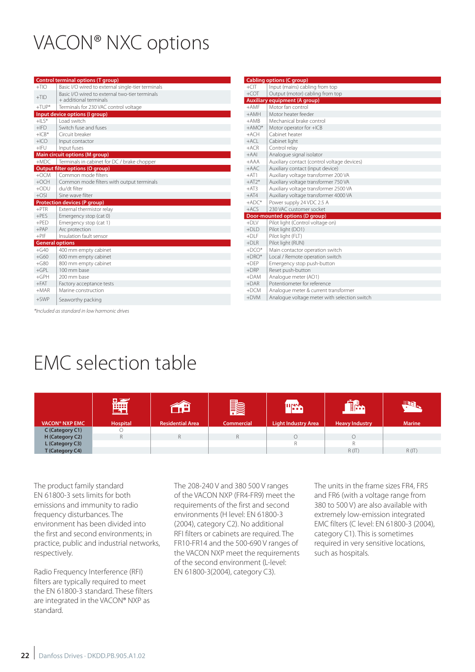## VACON® NXC options

|                        | <b>Control terminal options (T group)</b>                                |
|------------------------|--------------------------------------------------------------------------|
| $-TIO$                 | Basic I/O wired to external single-tier terminals                        |
| $+TID$                 | Basic I/O wired to external two-tier terminals<br>+ additional terminals |
| $+TUP^*$               | Terminals for 230 VAC control voltage                                    |
|                        | Input device options (I group)                                           |
| $+II S^*$              | Load switch                                                              |
| $+IFD$                 | Switch fuse and fuses                                                    |
| $+$ ICB*               | Circuit breaker                                                          |
| $+ICO$                 | Input contactor                                                          |
| $+$ IFU                | Input fuses                                                              |
|                        | <b>Main circuit options (M group)</b>                                    |
| $+MDC$                 | Terminals in cabinet for DC / brake chopper                              |
|                        | <b>Output filter options (O group)</b>                                   |
| $+OCM$                 | Common mode filters                                                      |
| $+OCH$                 | Common mode filters with output terminals                                |
| $+ODU$                 | du/dt filter                                                             |
| $+OSI$                 | Sine wave filter                                                         |
|                        | <b>Protection devices (P group)</b>                                      |
| $+$ PTR<br>$+PFS$      | External thermistor relay                                                |
| $+$ PFD                | Emergency stop (cat 0)                                                   |
| $+PAP$                 | Emergency stop (cat 1)<br>Arc protection                                 |
| $+PIF$                 | Insulation fault sensor                                                  |
| <b>General options</b> |                                                                          |
| $+G40$                 | 400 mm empty cabinet                                                     |
| $+G60$                 | 600 mm empty cabinet                                                     |
| $+G80$                 | 800 mm empty cabinet                                                     |
| $+GP$                  | 100 mm base                                                              |
| $+GPH$                 | 200 mm base                                                              |
| $+FAT$                 | Factory acceptance tests                                                 |
| $+MAR$                 | Marine construction                                                      |
| $+$ SWP                | Seaworthy packing                                                        |

|          | Cabling options (C group)                    |
|----------|----------------------------------------------|
| $+$ CIT  | Input (mains) cabling from top               |
| $+COT$   | Output (motor) cabling from top              |
|          | <b>Auxiliary equipment (A group)</b>         |
| $+AMF$   | Motor fan control                            |
| $+AMH$   | Motor heater feeder                          |
| $+AMB$   | Mechanical brake control                     |
| $+AMO*$  | Motor operator for +ICB                      |
| $+$ ACH  | Cabinet heater                               |
| $+AC$    | Cabinet light                                |
| $+ACR$   | Control relay                                |
| $+AAI$   | Analogue signal isolator                     |
| $+AAA$   | Auxiliary contact (control voltage devices)  |
| $+AAC$   | Auxiliary contact (input device)             |
| $+AT1$   | Auxiliary voltage transformer 200 VA         |
| $+AT2*$  | Auxiliary voltage transformer 750 VA         |
| $+AT3$   | Auxiliary voltage transformer 2500 VA        |
| $+AT4$   | Auxiliary voltage transformer 4000 VA        |
| $+$ ADC* | Power supply 24 VDC 2.5 A                    |
| $+ACS$   | 230 VAC customer socket                      |
|          | Door-mounted options (D group)               |
| $+$ DIV  | Pilot light (Control voltage on)             |
| $+DID$   | Pilot light (DO1)                            |
| $+$ DIF  | Pilot light (FLT)                            |
| $+DIR$   | Pilot light (RUN)                            |
| $+DCO*$  | Main contactor operation switch              |
| $+DRO*$  | Local / Remote operation switch              |
| $+$ DEP  | Emergency stop push-button                   |
| $+DRP$   | Reset push-button                            |
| $+DAM$   | Analogue meter (AO1)                         |
| $+DAR$   | Potentiometer for reference                  |
| $+DCM$   | Analogue meter & current transformer         |
| $+DVM$   | Analogue voltage meter with selection switch |

\*Included as standard in low harmonic drives

## EMC selection table

|                       | 鼺<br><u>is t</u> |                         | <b>IN</b>         | N.                         | ¶¦                    | 王家            |
|-----------------------|------------------|-------------------------|-------------------|----------------------------|-----------------------|---------------|
| <b>VACON® NXP EMC</b> | <b>Hospital</b>  | <b>Residential Area</b> | <b>Commercial</b> | <b>Light Industry Area</b> | <b>Heavy Industry</b> | <b>Marine</b> |
| C (Category C1)       |                  |                         |                   |                            |                       |               |
| H (Category C2)       |                  |                         | R                 |                            |                       |               |
| L (Category C3)       |                  |                         |                   |                            |                       |               |
| T (Category C4)       |                  |                         |                   |                            | R(IT)                 | R(IT)         |

The product family standard EN 61800-3 sets limits for both emissions and immunity to radio frequency disturbances. The environment has been divided into the first and second environments; in practice, public and industrial networks, respectively.

Radio Frequency Interference (RFI) filters are typically required to meet the EN 61800-3 standard. These filters are integrated in the VACON® NXP as standard.

The 208-240 V and 380 500 V ranges of the VACON NXP (FR4-FR9) meet the requirements of the first and second environments (H level: EN 61800-3 (2004), category C2). No additional RFI filters or cabinets are required. The FR10-FR14 and the 500-690 V ranges of the VACON NXP meet the requirements of the second environment (L-level: EN 61800-3(2004), category C3).

The units in the frame sizes FR4, FR5 and FR6 (with a voltage range from 380 to 500 V) are also available with extremely low-emission integrated EMC filters (C level: EN 61800-3 (2004), category C1). This is sometimes required in very sensitive locations, such as hospitals.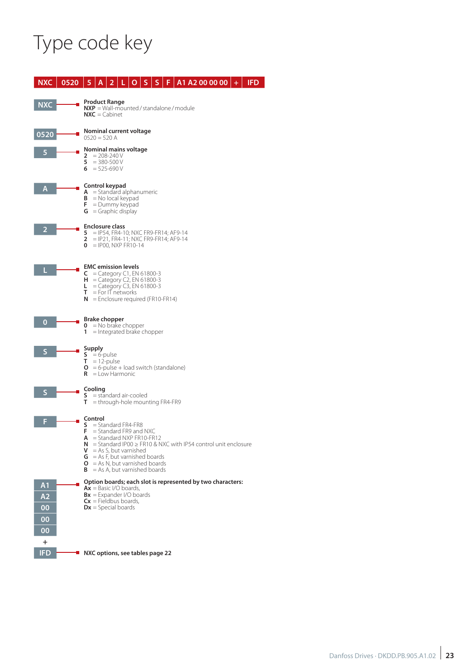## Type code key

#### **NXC**  $\begin{bmatrix} 0.520 & 5 & A & 2 & L & 0 & S & F & A1 & A2 & 00 & 00 & 0 & + & F \end{bmatrix}$  IFD